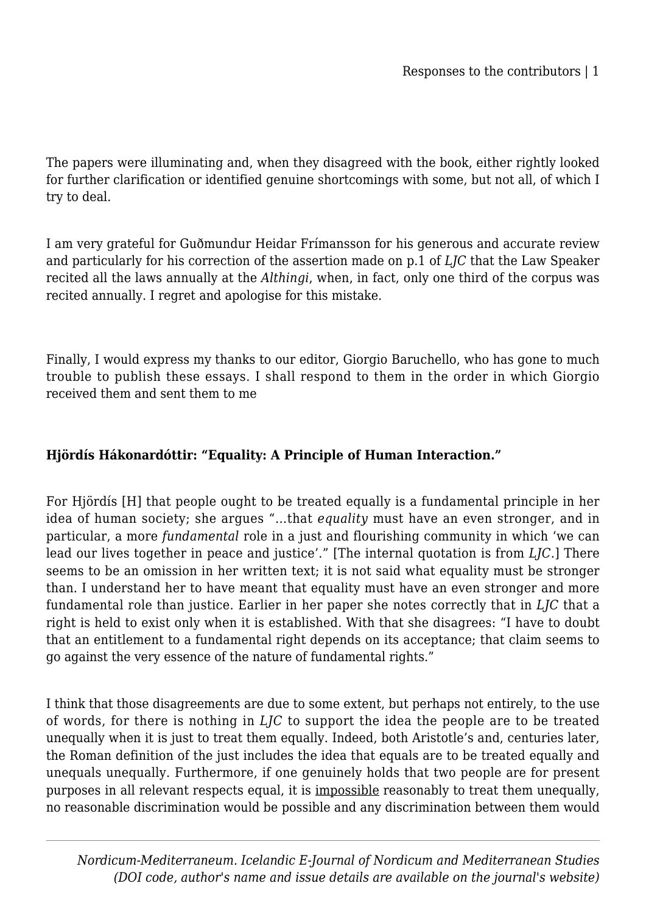The papers were illuminating and, when they disagreed with the book, either rightly looked for further clarification or identified genuine shortcomings with some, but not all, of which I try to deal.

I am very grateful for Guðmundur Heidar Frímansson for his generous and accurate review and particularly for his correction of the assertion made on p.1 of *LJC* that the Law Speaker recited all the laws annually at the *Althingi*, when, in fact, only one third of the corpus was recited annually. I regret and apologise for this mistake.

Finally, I would express my thanks to our editor, Giorgio Baruchello, who has gone to much trouble to publish these essays. I shall respond to them in the order in which Giorgio received them and sent them to me

### **Hjördís Hákonardóttir: "Equality: A Principle of Human Interaction."**

For Hjördís [H] that people ought to be treated equally is a fundamental principle in her idea of human society; she argues "…that *equality* must have an even stronger, and in particular, a more *fundamental* role in a just and flourishing community in which 'we can lead our lives together in peace and justice'." [The internal quotation is from *LJC.*] There seems to be an omission in her written text; it is not said what equality must be stronger than. I understand her to have meant that equality must have an even stronger and more fundamental role than justice. Earlier in her paper she notes correctly that in *LJC* that a right is held to exist only when it is established. With that she disagrees: "I have to doubt that an entitlement to a fundamental right depends on its acceptance; that claim seems to go against the very essence of the nature of fundamental rights."

I think that those disagreements are due to some extent, but perhaps not entirely, to the use of words, for there is nothing in *LJC* to support the idea the people are to be treated unequally when it is just to treat them equally. Indeed, both Aristotle's and, centuries later, the Roman definition of the just includes the idea that equals are to be treated equally and unequals unequally. Furthermore, if one genuinely holds that two people are for present purposes in all relevant respects equal, it is impossible reasonably to treat them unequally, no reasonable discrimination would be possible and any discrimination between them would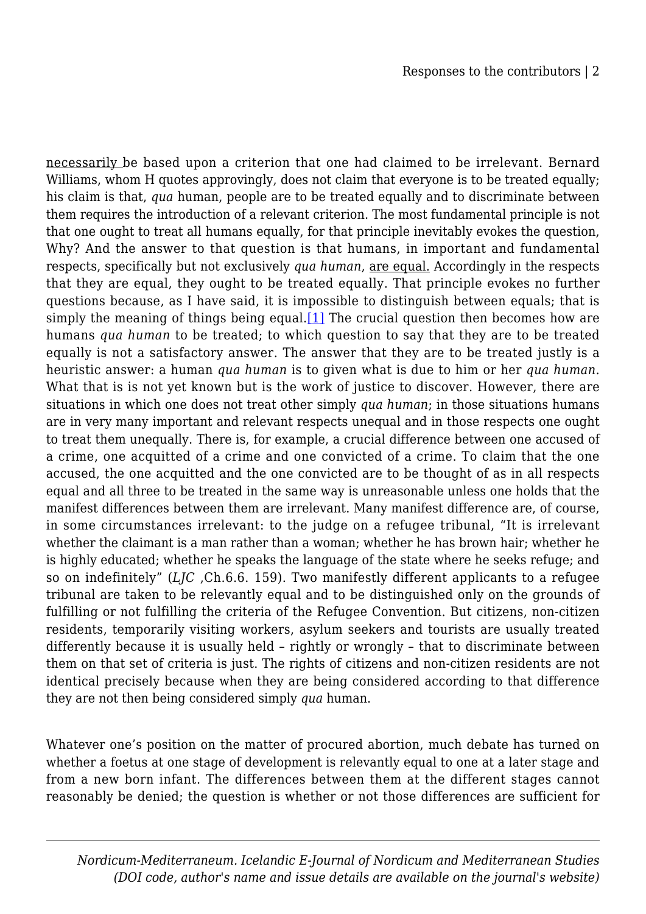necessarily be based upon a criterion that one had claimed to be irrelevant. Bernard Williams, whom H quotes approvingly, does not claim that everyone is to be treated equally; his claim is that, *qua* human, people are to be treated equally and to discriminate between them requires the introduction of a relevant criterion. The most fundamental principle is not that one ought to treat all humans equally, for that principle inevitably evokes the question, Why? And the answer to that question is that humans, in important and fundamental respects, specifically but not exclusively *qua human*, are equal. Accordingly in the respects that they are equal, they ought to be treated equally. That principle evokes no further questions because, as I have said, it is impossible to distinguish between equals; that is simply the meaning of things being equal.<sup>[1]</sup> The crucial question then becomes how are humans *qua human* to be treated; to which question to say that they are to be treated equally is not a satisfactory answer. The answer that they are to be treated justly is a heuristic answer: a human *qua human* is to given what is due to him or her *qua human.* What that is is not yet known but is the work of justice to discover. However, there are situations in which one does not treat other simply *qua human*; in those situations humans are in very many important and relevant respects unequal and in those respects one ought to treat them unequally. There is, for example, a crucial difference between one accused of a crime, one acquitted of a crime and one convicted of a crime. To claim that the one accused, the one acquitted and the one convicted are to be thought of as in all respects equal and all three to be treated in the same way is unreasonable unless one holds that the manifest differences between them are irrelevant. Many manifest difference are, of course, in some circumstances irrelevant: to the judge on a refugee tribunal, "It is irrelevant whether the claimant is a man rather than a woman; whether he has brown hair; whether he is highly educated; whether he speaks the language of the state where he seeks refuge; and so on indefinitely" (*LJC* ,Ch.6.6. 159). Two manifestly different applicants to a refugee tribunal are taken to be relevantly equal and to be distinguished only on the grounds of fulfilling or not fulfilling the criteria of the Refugee Convention. But citizens, non-citizen residents, temporarily visiting workers, asylum seekers and tourists are usually treated differently because it is usually held – rightly or wrongly – that to discriminate between them on that set of criteria is just. The rights of citizens and non-citizen residents are not identical precisely because when they are being considered according to that difference they are not then being considered simply *qua* human.

Whatever one's position on the matter of procured abortion, much debate has turned on whether a foetus at one stage of development is relevantly equal to one at a later stage and from a new born infant. The differences between them at the different stages cannot reasonably be denied; the question is whether or not those differences are sufficient for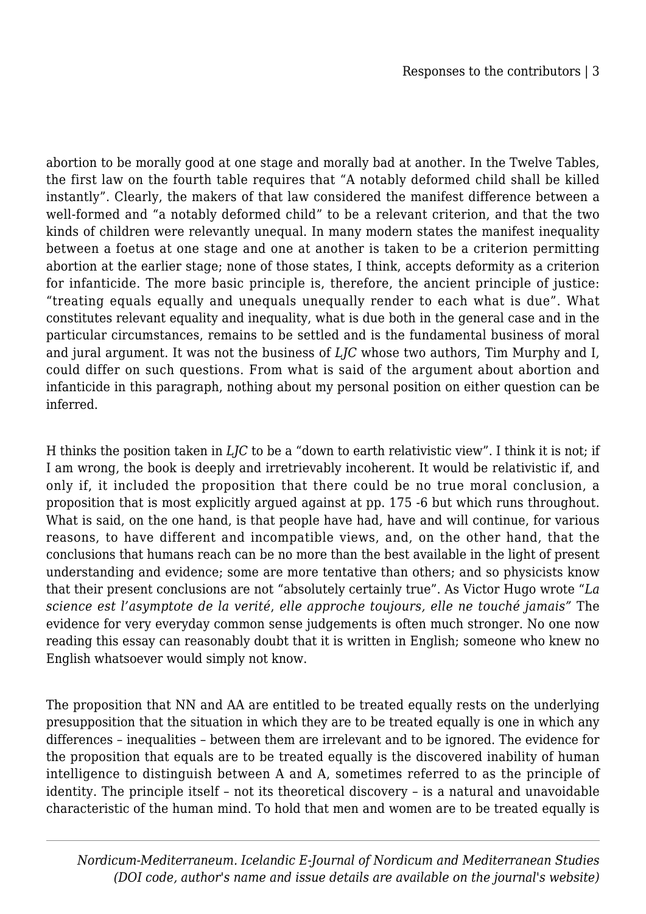abortion to be morally good at one stage and morally bad at another. In the Twelve Tables, the first law on the fourth table requires that "A notably deformed child shall be killed instantly". Clearly, the makers of that law considered the manifest difference between a well-formed and "a notably deformed child" to be a relevant criterion, and that the two kinds of children were relevantly unequal. In many modern states the manifest inequality between a foetus at one stage and one at another is taken to be a criterion permitting abortion at the earlier stage; none of those states, I think, accepts deformity as a criterion for infanticide. The more basic principle is, therefore, the ancient principle of justice: "treating equals equally and unequals unequally render to each what is due". What constitutes relevant equality and inequality, what is due both in the general case and in the particular circumstances, remains to be settled and is the fundamental business of moral and jural argument. It was not the business of *LJC* whose two authors, Tim Murphy and I, could differ on such questions. From what is said of the argument about abortion and infanticide in this paragraph, nothing about my personal position on either question can be inferred.

H thinks the position taken in *LJC* to be a "down to earth relativistic view". I think it is not; if I am wrong, the book is deeply and irretrievably incoherent. It would be relativistic if, and only if, it included the proposition that there could be no true moral conclusion, a proposition that is most explicitly argued against at pp. 175 -6 but which runs throughout. What is said, on the one hand, is that people have had, have and will continue, for various reasons, to have different and incompatible views, and, on the other hand, that the conclusions that humans reach can be no more than the best available in the light of present understanding and evidence; some are more tentative than others; and so physicists know that their present conclusions are not "absolutely certainly true". As Victor Hugo wrote "*La science est l'asymptote de la verité*, *elle approche toujours, elle ne touché jamais"* The evidence for very everyday common sense judgements is often much stronger. No one now reading this essay can reasonably doubt that it is written in English; someone who knew no English whatsoever would simply not know.

The proposition that NN and AA are entitled to be treated equally rests on the underlying presupposition that the situation in which they are to be treated equally is one in which any differences – inequalities – between them are irrelevant and to be ignored. The evidence for the proposition that equals are to be treated equally is the discovered inability of human intelligence to distinguish between A and A, sometimes referred to as the principle of identity. The principle itself – not its theoretical discovery – is a natural and unavoidable characteristic of the human mind. To hold that men and women are to be treated equally is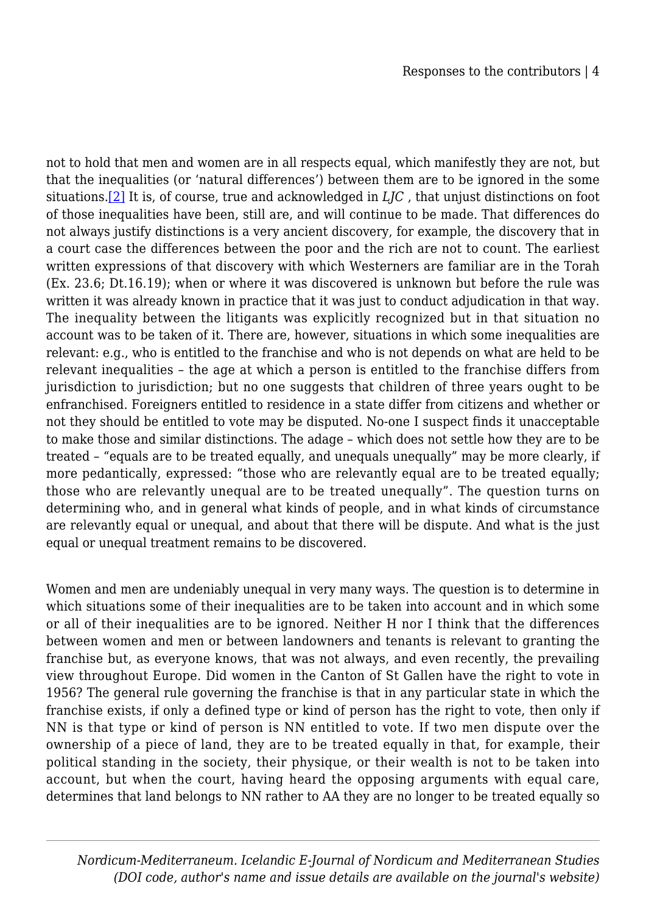not to hold that men and women are in all respects equal, which manifestly they are not, but that the inequalities (or 'natural differences') between them are to be ignored in the some situations.[\[2\]](#page--1-0) It is, of course, true and acknowledged in *LJC* , that unjust distinctions on foot of those inequalities have been, still are, and will continue to be made. That differences do not always justify distinctions is a very ancient discovery, for example, the discovery that in a court case the differences between the poor and the rich are not to count. The earliest written expressions of that discovery with which Westerners are familiar are in the Torah (Ex. 23.6; Dt.16.19); when or where it was discovered is unknown but before the rule was written it was already known in practice that it was just to conduct adjudication in that way. The inequality between the litigants was explicitly recognized but in that situation no account was to be taken of it. There are, however, situations in which some inequalities are relevant: e.g., who is entitled to the franchise and who is not depends on what are held to be relevant inequalities – the age at which a person is entitled to the franchise differs from jurisdiction to jurisdiction; but no one suggests that children of three years ought to be enfranchised. Foreigners entitled to residence in a state differ from citizens and whether or not they should be entitled to vote may be disputed. No-one I suspect finds it unacceptable to make those and similar distinctions. The adage – which does not settle how they are to be treated – "equals are to be treated equally, and unequals unequally" may be more clearly, if more pedantically, expressed: "those who are relevantly equal are to be treated equally; those who are relevantly unequal are to be treated unequally". The question turns on determining who, and in general what kinds of people, and in what kinds of circumstance are relevantly equal or unequal, and about that there will be dispute. And what is the just equal or unequal treatment remains to be discovered.

Women and men are undeniably unequal in very many ways. The question is to determine in which situations some of their inequalities are to be taken into account and in which some or all of their inequalities are to be ignored. Neither H nor I think that the differences between women and men or between landowners and tenants is relevant to granting the franchise but, as everyone knows, that was not always, and even recently, the prevailing view throughout Europe. Did women in the Canton of St Gallen have the right to vote in 1956? The general rule governing the franchise is that in any particular state in which the franchise exists, if only a defined type or kind of person has the right to vote, then only if NN is that type or kind of person is NN entitled to vote. If two men dispute over the ownership of a piece of land, they are to be treated equally in that, for example, their political standing in the society, their physique, or their wealth is not to be taken into account, but when the court, having heard the opposing arguments with equal care, determines that land belongs to NN rather to AA they are no longer to be treated equally so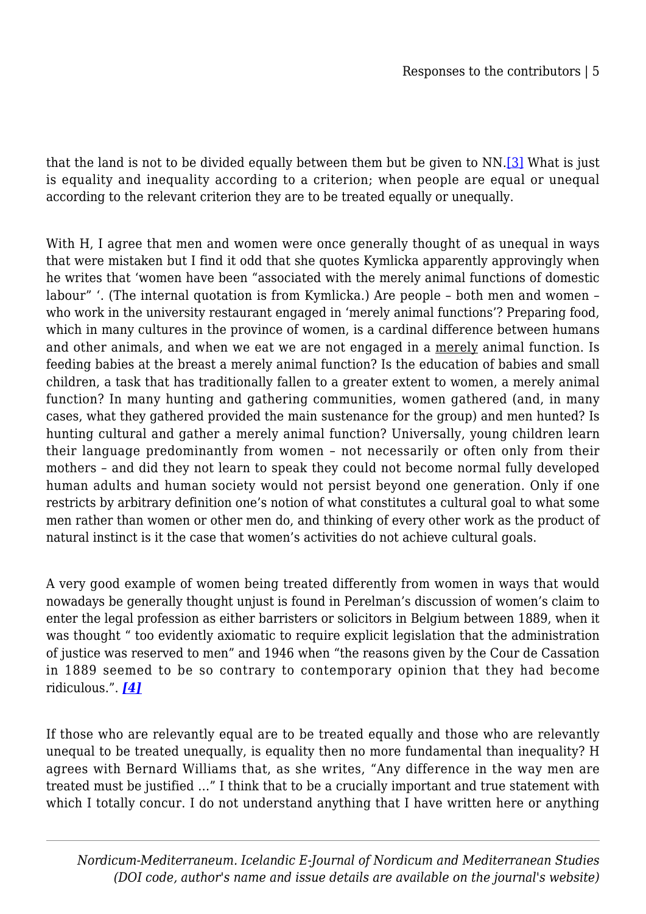that the land is not to be divided equally between them but be given to NN.[\[3\]](#page--1-0) What is just is equality and inequality according to a criterion; when people are equal or unequal according to the relevant criterion they are to be treated equally or unequally.

With H, I agree that men and women were once generally thought of as unequal in ways that were mistaken but I find it odd that she quotes Kymlicka apparently approvingly when he writes that 'women have been "associated with the merely animal functions of domestic labour" '. (The internal quotation is from Kymlicka.) Are people – both men and women – who work in the university restaurant engaged in 'merely animal functions'? Preparing food, which in many cultures in the province of women, is a cardinal difference between humans and other animals, and when we eat we are not engaged in a merely animal function. Is feeding babies at the breast a merely animal function? Is the education of babies and small children, a task that has traditionally fallen to a greater extent to women, a merely animal function? In many hunting and gathering communities, women gathered (and, in many cases, what they gathered provided the main sustenance for the group) and men hunted? Is hunting cultural and gather a merely animal function? Universally, young children learn their language predominantly from women – not necessarily or often only from their mothers – and did they not learn to speak they could not become normal fully developed human adults and human society would not persist beyond one generation. Only if one restricts by arbitrary definition one's notion of what constitutes a cultural goal to what some men rather than women or other men do, and thinking of every other work as the product of natural instinct is it the case that women's activities do not achieve cultural goals.

A very good example of women being treated differently from women in ways that would nowadays be generally thought unjust is found in Perelman's discussion of women's claim to enter the legal profession as either barristers or solicitors in Belgium between 1889, when it was thought " too evidently axiomatic to require explicit legislation that the administration of justice was reserved to men" and 1946 when "the reasons given by the Cour de Cassation in 1889 seemed to be so contrary to contemporary opinion that they had become ridiculous.". *[\[4\]](#page--1-0)*

If those who are relevantly equal are to be treated equally and those who are relevantly unequal to be treated unequally, is equality then no more fundamental than inequality? H agrees with Bernard Williams that, as she writes, "Any difference in the way men are treated must be justified …" I think that to be a crucially important and true statement with which I totally concur. I do not understand anything that I have written here or anything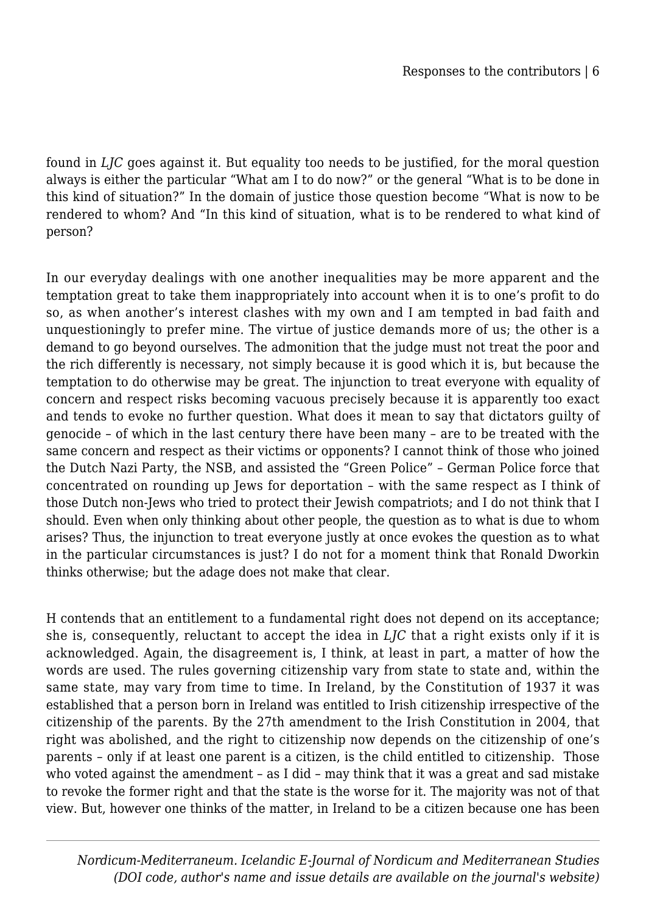found in *LJC* goes against it. But equality too needs to be justified, for the moral question always is either the particular "What am I to do now?" or the general "What is to be done in this kind of situation?" In the domain of justice those question become "What is now to be rendered to whom? And "In this kind of situation, what is to be rendered to what kind of person?

In our everyday dealings with one another inequalities may be more apparent and the temptation great to take them inappropriately into account when it is to one's profit to do so, as when another's interest clashes with my own and I am tempted in bad faith and unquestioningly to prefer mine. The virtue of justice demands more of us; the other is a demand to go beyond ourselves. The admonition that the judge must not treat the poor and the rich differently is necessary, not simply because it is good which it is, but because the temptation to do otherwise may be great. The injunction to treat everyone with equality of concern and respect risks becoming vacuous precisely because it is apparently too exact and tends to evoke no further question. What does it mean to say that dictators guilty of genocide – of which in the last century there have been many – are to be treated with the same concern and respect as their victims or opponents? I cannot think of those who joined the Dutch Nazi Party, the NSB, and assisted the "Green Police" – German Police force that concentrated on rounding up Jews for deportation – with the same respect as I think of those Dutch non-Jews who tried to protect their Jewish compatriots; and I do not think that I should. Even when only thinking about other people, the question as to what is due to whom arises? Thus, the injunction to treat everyone justly at once evokes the question as to what in the particular circumstances is just? I do not for a moment think that Ronald Dworkin thinks otherwise; but the adage does not make that clear.

H contends that an entitlement to a fundamental right does not depend on its acceptance; she is, consequently, reluctant to accept the idea in *LJC* that a right exists only if it is acknowledged. Again, the disagreement is, I think, at least in part, a matter of how the words are used. The rules governing citizenship vary from state to state and, within the same state, may vary from time to time. In Ireland, by the Constitution of 1937 it was established that a person born in Ireland was entitled to Irish citizenship irrespective of the citizenship of the parents. By the 27th amendment to the Irish Constitution in 2004, that right was abolished, and the right to citizenship now depends on the citizenship of one's parents – only if at least one parent is a citizen, is the child entitled to citizenship. Those who voted against the amendment – as I did – may think that it was a great and sad mistake to revoke the former right and that the state is the worse for it. The majority was not of that view. But, however one thinks of the matter, in Ireland to be a citizen because one has been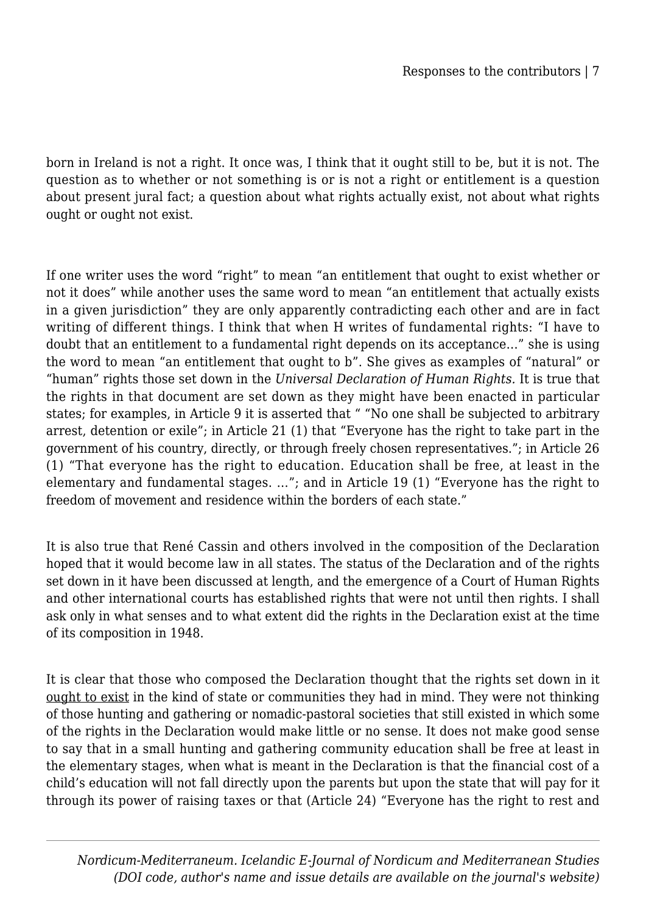born in Ireland is not a right. It once was, I think that it ought still to be, but it is not. The question as to whether or not something is or is not a right or entitlement is a question about present jural fact; a question about what rights actually exist, not about what rights ought or ought not exist.

If one writer uses the word "right" to mean "an entitlement that ought to exist whether or not it does" while another uses the same word to mean "an entitlement that actually exists in a given jurisdiction" they are only apparently contradicting each other and are in fact writing of different things. I think that when H writes of fundamental rights: "I have to doubt that an entitlement to a fundamental right depends on its acceptance…" she is using the word to mean "an entitlement that ought to b". She gives as examples of "natural" or "human" rights those set down in the *Universal Declaration of Human Rights.* It is true that the rights in that document are set down as they might have been enacted in particular states; for examples, in Article 9 it is asserted that " "No one shall be subjected to arbitrary arrest, detention or exile"; in Article 21 (1) that "Everyone has the right to take part in the government of his country, directly, or through freely chosen representatives."; in Article 26 (1) "That everyone has the right to education. Education shall be free, at least in the elementary and fundamental stages. …"; and in Article 19 (1) "Everyone has the right to freedom of movement and residence within the borders of each state."

It is also true that René Cassin and others involved in the composition of the Declaration hoped that it would become law in all states. The status of the Declaration and of the rights set down in it have been discussed at length, and the emergence of a Court of Human Rights and other international courts has established rights that were not until then rights. I shall ask only in what senses and to what extent did the rights in the Declaration exist at the time of its composition in 1948.

It is clear that those who composed the Declaration thought that the rights set down in it ought to exist in the kind of state or communities they had in mind. They were not thinking of those hunting and gathering or nomadic-pastoral societies that still existed in which some of the rights in the Declaration would make little or no sense. It does not make good sense to say that in a small hunting and gathering community education shall be free at least in the elementary stages, when what is meant in the Declaration is that the financial cost of a child's education will not fall directly upon the parents but upon the state that will pay for it through its power of raising taxes or that (Article 24) "Everyone has the right to rest and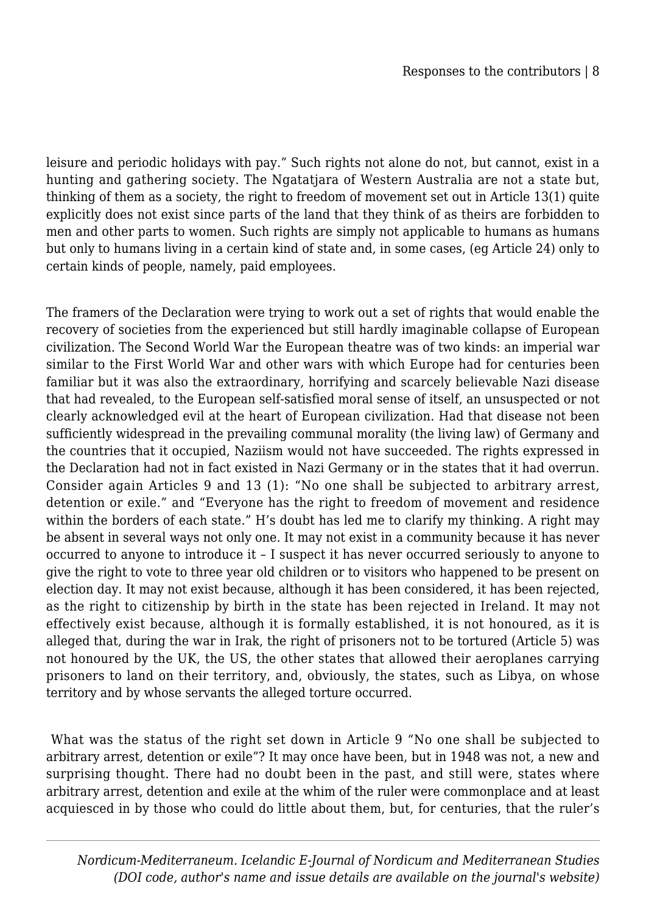leisure and periodic holidays with pay." Such rights not alone do not, but cannot, exist in a hunting and gathering society. The Ngatatjara of Western Australia are not a state but, thinking of them as a society, the right to freedom of movement set out in Article 13(1) quite explicitly does not exist since parts of the land that they think of as theirs are forbidden to men and other parts to women. Such rights are simply not applicable to humans as humans but only to humans living in a certain kind of state and, in some cases, (eg Article 24) only to certain kinds of people, namely, paid employees.

The framers of the Declaration were trying to work out a set of rights that would enable the recovery of societies from the experienced but still hardly imaginable collapse of European civilization. The Second World War the European theatre was of two kinds: an imperial war similar to the First World War and other wars with which Europe had for centuries been familiar but it was also the extraordinary, horrifying and scarcely believable Nazi disease that had revealed, to the European self-satisfied moral sense of itself, an unsuspected or not clearly acknowledged evil at the heart of European civilization. Had that disease not been sufficiently widespread in the prevailing communal morality (the living law) of Germany and the countries that it occupied, Naziism would not have succeeded. The rights expressed in the Declaration had not in fact existed in Nazi Germany or in the states that it had overrun. Consider again Articles 9 and 13 (1): "No one shall be subjected to arbitrary arrest, detention or exile." and "Everyone has the right to freedom of movement and residence within the borders of each state." H's doubt has led me to clarify my thinking. A right may be absent in several ways not only one. It may not exist in a community because it has never occurred to anyone to introduce it – I suspect it has never occurred seriously to anyone to give the right to vote to three year old children or to visitors who happened to be present on election day. It may not exist because, although it has been considered, it has been rejected, as the right to citizenship by birth in the state has been rejected in Ireland. It may not effectively exist because, although it is formally established, it is not honoured, as it is alleged that, during the war in Irak, the right of prisoners not to be tortured (Article 5) was not honoured by the UK, the US, the other states that allowed their aeroplanes carrying prisoners to land on their territory, and, obviously, the states, such as Libya, on whose territory and by whose servants the alleged torture occurred.

 What was the status of the right set down in Article 9 "No one shall be subjected to arbitrary arrest, detention or exile"? It may once have been, but in 1948 was not, a new and surprising thought. There had no doubt been in the past, and still were, states where arbitrary arrest, detention and exile at the whim of the ruler were commonplace and at least acquiesced in by those who could do little about them, but, for centuries, that the ruler's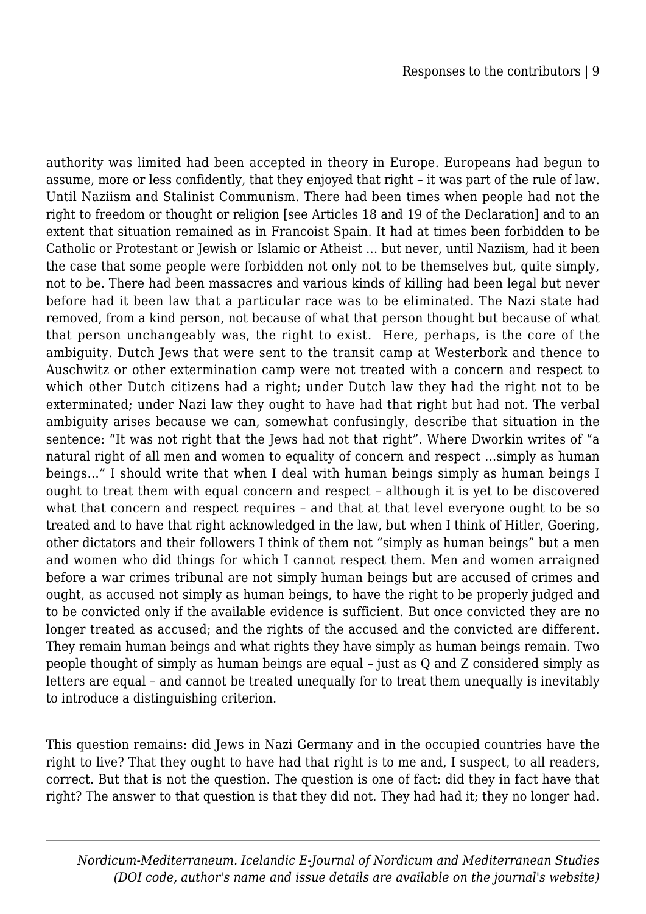authority was limited had been accepted in theory in Europe. Europeans had begun to assume, more or less confidently, that they enjoyed that right – it was part of the rule of law. Until Naziism and Stalinist Communism. There had been times when people had not the right to freedom or thought or religion [see Articles 18 and 19 of the Declaration] and to an extent that situation remained as in Francoist Spain. It had at times been forbidden to be Catholic or Protestant or Jewish or Islamic or Atheist … but never, until Naziism, had it been the case that some people were forbidden not only not to be themselves but, quite simply, not to be. There had been massacres and various kinds of killing had been legal but never before had it been law that a particular race was to be eliminated. The Nazi state had removed, from a kind person, not because of what that person thought but because of what that person unchangeably was, the right to exist. Here, perhaps, is the core of the ambiguity. Dutch Jews that were sent to the transit camp at Westerbork and thence to Auschwitz or other extermination camp were not treated with a concern and respect to which other Dutch citizens had a right; under Dutch law they had the right not to be exterminated; under Nazi law they ought to have had that right but had not. The verbal ambiguity arises because we can, somewhat confusingly, describe that situation in the sentence: "It was not right that the Jews had not that right". Where Dworkin writes of "a natural right of all men and women to equality of concern and respect …simply as human beings…" I should write that when I deal with human beings simply as human beings I ought to treat them with equal concern and respect – although it is yet to be discovered what that concern and respect requires – and that at that level everyone ought to be so treated and to have that right acknowledged in the law, but when I think of Hitler, Goering, other dictators and their followers I think of them not "simply as human beings" but a men and women who did things for which I cannot respect them. Men and women arraigned before a war crimes tribunal are not simply human beings but are accused of crimes and ought, as accused not simply as human beings, to have the right to be properly judged and to be convicted only if the available evidence is sufficient. But once convicted they are no longer treated as accused; and the rights of the accused and the convicted are different. They remain human beings and what rights they have simply as human beings remain. Two people thought of simply as human beings are equal – just as Q and Z considered simply as letters are equal – and cannot be treated unequally for to treat them unequally is inevitably to introduce a distinguishing criterion.

This question remains: did Jews in Nazi Germany and in the occupied countries have the right to live? That they ought to have had that right is to me and, I suspect, to all readers, correct. But that is not the question. The question is one of fact: did they in fact have that right? The answer to that question is that they did not. They had had it; they no longer had.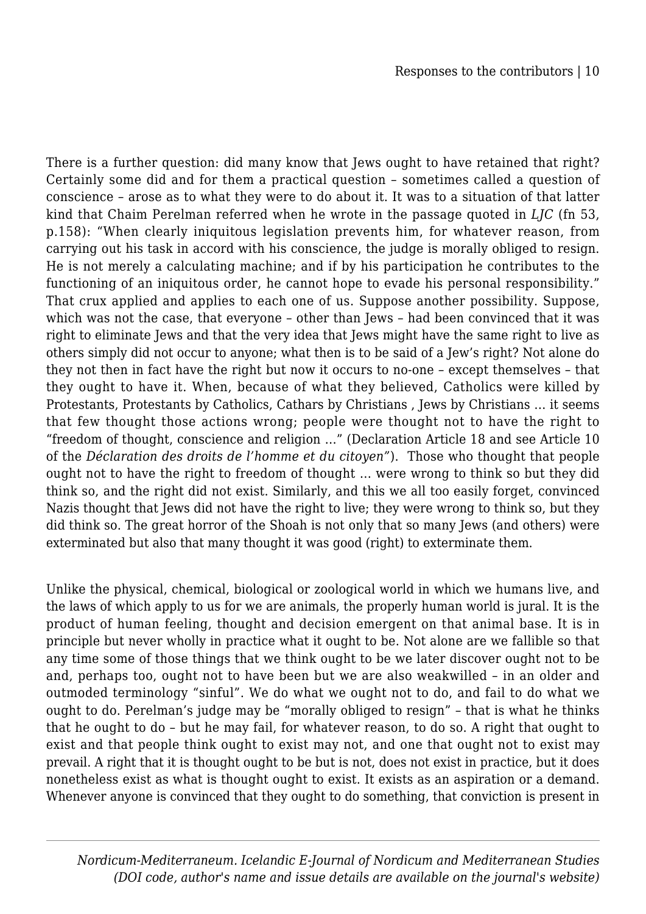There is a further question: did many know that Jews ought to have retained that right? Certainly some did and for them a practical question – sometimes called a question of conscience – arose as to what they were to do about it. It was to a situation of that latter kind that Chaim Perelman referred when he wrote in the passage quoted in *LJC* (fn 53, p.158): "When clearly iniquitous legislation prevents him, for whatever reason, from carrying out his task in accord with his conscience, the judge is morally obliged to resign. He is not merely a calculating machine; and if by his participation he contributes to the functioning of an iniquitous order, he cannot hope to evade his personal responsibility." That crux applied and applies to each one of us. Suppose another possibility. Suppose, which was not the case, that everyone – other than Jews – had been convinced that it was right to eliminate Jews and that the very idea that Jews might have the same right to live as others simply did not occur to anyone; what then is to be said of a Jew's right? Not alone do they not then in fact have the right but now it occurs to no-one – except themselves – that they ought to have it. When, because of what they believed, Catholics were killed by Protestants, Protestants by Catholics, Cathars by Christians , Jews by Christians … it seems that few thought those actions wrong; people were thought not to have the right to "freedom of thought, conscience and religion …" (Declaration Article 18 and see Article 10 of the *Déclaration des droits de l'homme et du citoyen"*). Those who thought that people ought not to have the right to freedom of thought … were wrong to think so but they did think so, and the right did not exist. Similarly, and this we all too easily forget, convinced Nazis thought that Jews did not have the right to live; they were wrong to think so, but they did think so. The great horror of the Shoah is not only that so many Jews (and others) were exterminated but also that many thought it was good (right) to exterminate them.

Unlike the physical, chemical, biological or zoological world in which we humans live, and the laws of which apply to us for we are animals, the properly human world is jural. It is the product of human feeling, thought and decision emergent on that animal base. It is in principle but never wholly in practice what it ought to be. Not alone are we fallible so that any time some of those things that we think ought to be we later discover ought not to be and, perhaps too, ought not to have been but we are also weakwilled – in an older and outmoded terminology "sinful". We do what we ought not to do, and fail to do what we ought to do. Perelman's judge may be "morally obliged to resign" – that is what he thinks that he ought to do – but he may fail, for whatever reason, to do so. A right that ought to exist and that people think ought to exist may not, and one that ought not to exist may prevail. A right that it is thought ought to be but is not, does not exist in practice, but it does nonetheless exist as what is thought ought to exist. It exists as an aspiration or a demand. Whenever anyone is convinced that they ought to do something, that conviction is present in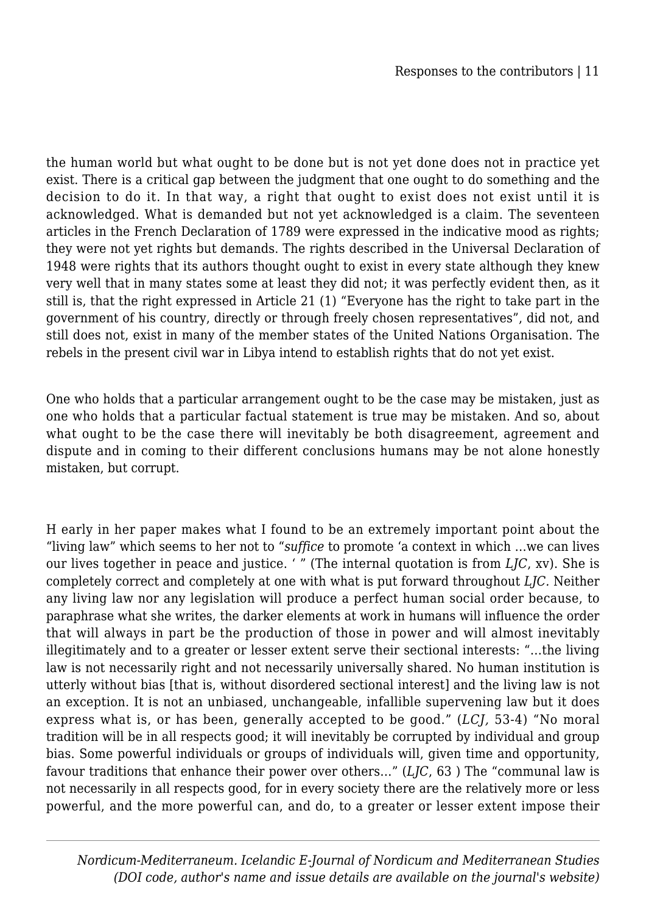the human world but what ought to be done but is not yet done does not in practice yet exist. There is a critical gap between the judgment that one ought to do something and the decision to do it. In that way, a right that ought to exist does not exist until it is acknowledged. What is demanded but not yet acknowledged is a claim. The seventeen articles in the French Declaration of 1789 were expressed in the indicative mood as rights; they were not yet rights but demands. The rights described in the Universal Declaration of 1948 were rights that its authors thought ought to exist in every state although they knew very well that in many states some at least they did not; it was perfectly evident then, as it still is, that the right expressed in Article 21 (1) "Everyone has the right to take part in the government of his country, directly or through freely chosen representatives", did not, and still does not, exist in many of the member states of the United Nations Organisation. The rebels in the present civil war in Libya intend to establish rights that do not yet exist.

One who holds that a particular arrangement ought to be the case may be mistaken, just as one who holds that a particular factual statement is true may be mistaken. And so, about what ought to be the case there will inevitably be both disagreement, agreement and dispute and in coming to their different conclusions humans may be not alone honestly mistaken, but corrupt.

H early in her paper makes what I found to be an extremely important point about the "living law" which seems to her not to "*suffice* to promote 'a context in which …we can lives our lives together in peace and justice. ' " (The internal quotation is from *LJC*, xv). She is completely correct and completely at one with what is put forward throughout *LJC.* Neither any living law nor any legislation will produce a perfect human social order because, to paraphrase what she writes, the darker elements at work in humans will influence the order that will always in part be the production of those in power and will almost inevitably illegitimately and to a greater or lesser extent serve their sectional interests: "…the living law is not necessarily right and not necessarily universally shared. No human institution is utterly without bias [that is, without disordered sectional interest] and the living law is not an exception. It is not an unbiased, unchangeable, infallible supervening law but it does express what is, or has been, generally accepted to be good." (*LCJ,* 53-4) "No moral tradition will be in all respects good; it will inevitably be corrupted by individual and group bias. Some powerful individuals or groups of individuals will, given time and opportunity, favour traditions that enhance their power over others…" (*LJC*, 63 ) The "communal law is not necessarily in all respects good, for in every society there are the relatively more or less powerful, and the more powerful can, and do, to a greater or lesser extent impose their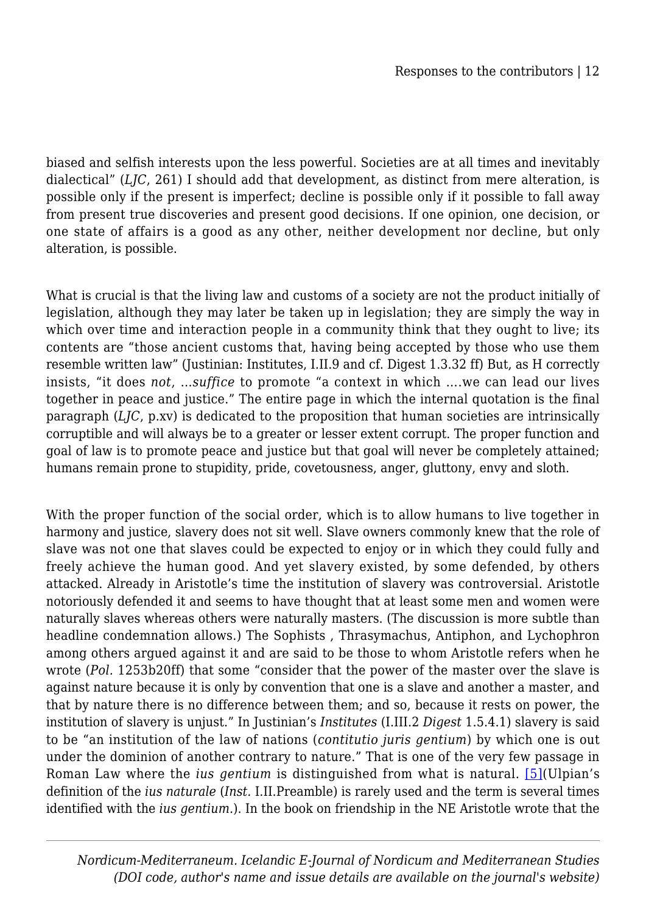biased and selfish interests upon the less powerful. Societies are at all times and inevitably dialectical" (*LJC*, 261) I should add that development, as distinct from mere alteration, is possible only if the present is imperfect; decline is possible only if it possible to fall away from present true discoveries and present good decisions. If one opinion, one decision, or one state of affairs is a good as any other, neither development nor decline, but only alteration, is possible.

What is crucial is that the living law and customs of a society are not the product initially of legislation, although they may later be taken up in legislation; they are simply the way in which over time and interaction people in a community think that they ought to live; its contents are "those ancient customs that, having being accepted by those who use them resemble written law" (Justinian: Institutes, I.II.9 and cf. Digest 1.3.32 ff) But, as H correctly insists, "it does *not*, …*suffice* to promote "a context in which ….we can lead our lives together in peace and justice." The entire page in which the internal quotation is the final paragraph (*LJC*, p.xv) is dedicated to the proposition that human societies are intrinsically corruptible and will always be to a greater or lesser extent corrupt. The proper function and goal of law is to promote peace and justice but that goal will never be completely attained; humans remain prone to stupidity, pride, covetousness, anger, gluttony, envy and sloth.

With the proper function of the social order, which is to allow humans to live together in harmony and justice, slavery does not sit well. Slave owners commonly knew that the role of slave was not one that slaves could be expected to enjoy or in which they could fully and freely achieve the human good. And yet slavery existed, by some defended, by others attacked. Already in Aristotle's time the institution of slavery was controversial. Aristotle notoriously defended it and seems to have thought that at least some men and women were naturally slaves whereas others were naturally masters. (The discussion is more subtle than headline condemnation allows.) The Sophists , Thrasymachus, Antiphon, and Lychophron among others argued against it and are said to be those to whom Aristotle refers when he wrote (*Pol.* 1253b20ff) that some "consider that the power of the master over the slave is against nature because it is only by convention that one is a slave and another a master, and that by nature there is no difference between them; and so, because it rests on power, the institution of slavery is unjust." In Justinian's *Institutes* (I.III.2 *Digest* 1.5.4.1) slavery is said to be "an institution of the law of nations (*contitutio juris gentium*) by which one is out under the dominion of another contrary to nature." That is one of the very few passage in Roman Law where the *ius gentium* is distinguished from what is natural. [\[5\]](#page--1-0)(Ulpian's definition of the *ius naturale* (*Inst.* I.II.Preamble) is rarely used and the term is several times identified with the *ius gentium.*). In the book on friendship in the NE Aristotle wrote that the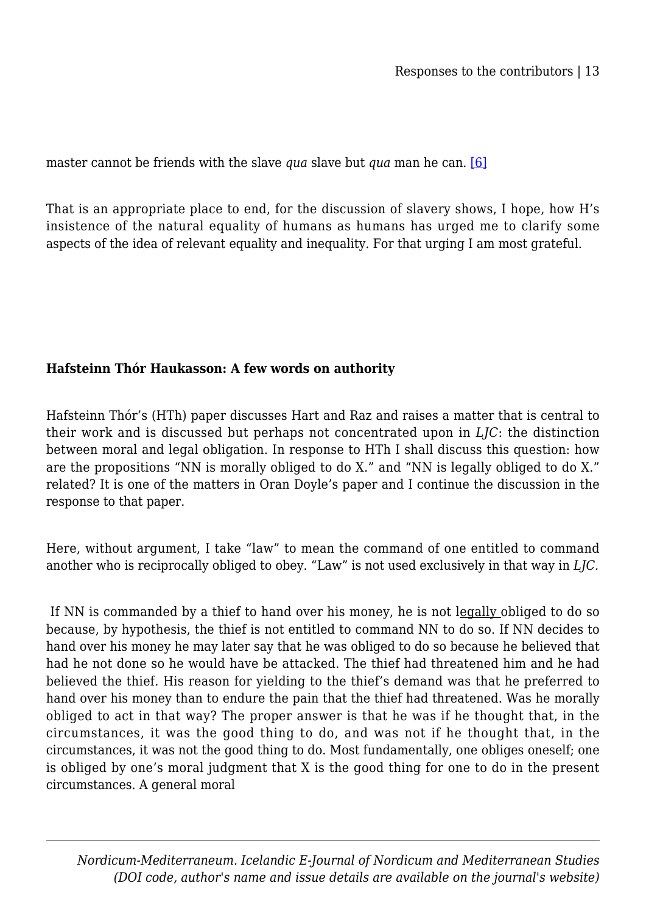master cannot be friends with the slave *qua* slave but *qua* man he can. [\[6\]](#page--1-0)

That is an appropriate place to end, for the discussion of slavery shows, I hope, how H's insistence of the natural equality of humans as humans has urged me to clarify some aspects of the idea of relevant equality and inequality. For that urging I am most grateful.

#### **Hafsteinn Thór Haukasson: A few words on authority**

Hafsteinn Thór's (HTh) paper discusses Hart and Raz and raises a matter that is central to their work and is discussed but perhaps not concentrated upon in *LJC*: the distinction between moral and legal obligation. In response to HTh I shall discuss this question: how are the propositions "NN is morally obliged to do X." and "NN is legally obliged to do X." related? It is one of the matters in Oran Doyle's paper and I continue the discussion in the response to that paper.

Here, without argument, I take "law" to mean the command of one entitled to command another who is reciprocally obliged to obey. "Law" is not used exclusively in that way in *LJC.*

 If NN is commanded by a thief to hand over his money, he is not legally obliged to do so because, by hypothesis, the thief is not entitled to command NN to do so. If NN decides to hand over his money he may later say that he was obliged to do so because he believed that had he not done so he would have be attacked. The thief had threatened him and he had believed the thief. His reason for yielding to the thief's demand was that he preferred to hand over his money than to endure the pain that the thief had threatened. Was he morally obliged to act in that way? The proper answer is that he was if he thought that, in the circumstances, it was the good thing to do, and was not if he thought that, in the circumstances, it was not the good thing to do. Most fundamentally, one obliges oneself; one is obliged by one's moral judgment that X is the good thing for one to do in the present circumstances. A general moral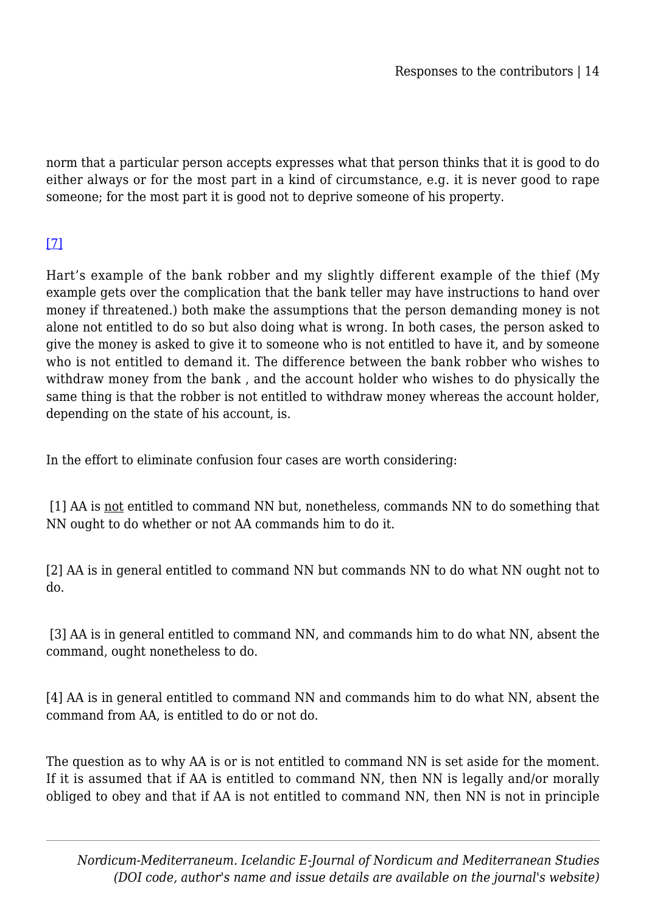norm that a particular person accepts expresses what that person thinks that it is good to do either always or for the most part in a kind of circumstance, e.g. it is never good to rape someone; for the most part it is good not to deprive someone of his property.

## [\[7\]](#page--1-0)

Hart's example of the bank robber and my slightly different example of the thief (My example gets over the complication that the bank teller may have instructions to hand over money if threatened.) both make the assumptions that the person demanding money is not alone not entitled to do so but also doing what is wrong. In both cases, the person asked to give the money is asked to give it to someone who is not entitled to have it, and by someone who is not entitled to demand it. The difference between the bank robber who wishes to withdraw money from the bank , and the account holder who wishes to do physically the same thing is that the robber is not entitled to withdraw money whereas the account holder, depending on the state of his account, is.

In the effort to eliminate confusion four cases are worth considering:

 [1] AA is not entitled to command NN but, nonetheless, commands NN to do something that NN ought to do whether or not AA commands him to do it.

[2] AA is in general entitled to command NN but commands NN to do what NN ought not to do.

 [3] AA is in general entitled to command NN, and commands him to do what NN, absent the command, ought nonetheless to do.

[4] AA is in general entitled to command NN and commands him to do what NN, absent the command from AA, is entitled to do or not do.

The question as to why AA is or is not entitled to command NN is set aside for the moment. If it is assumed that if AA is entitled to command NN, then NN is legally and/or morally obliged to obey and that if AA is not entitled to command NN, then NN is not in principle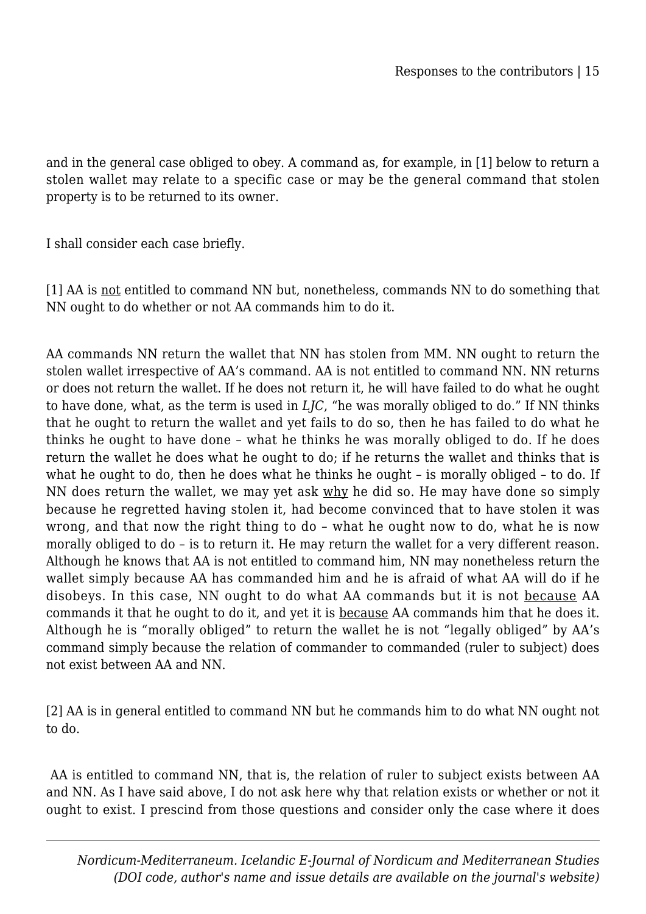and in the general case obliged to obey. A command as, for example, in [1] below to return a stolen wallet may relate to a specific case or may be the general command that stolen property is to be returned to its owner.

I shall consider each case briefly.

[1] AA is not entitled to command NN but, nonetheless, commands NN to do something that NN ought to do whether or not AA commands him to do it.

AA commands NN return the wallet that NN has stolen from MM. NN ought to return the stolen wallet irrespective of AA's command. AA is not entitled to command NN. NN returns or does not return the wallet. If he does not return it, he will have failed to do what he ought to have done, what, as the term is used in *LJC*, "he was morally obliged to do." If NN thinks that he ought to return the wallet and yet fails to do so, then he has failed to do what he thinks he ought to have done – what he thinks he was morally obliged to do. If he does return the wallet he does what he ought to do; if he returns the wallet and thinks that is what he ought to do, then he does what he thinks he ought – is morally obliged – to do. If NN does return the wallet, we may yet ask why he did so. He may have done so simply because he regretted having stolen it, had become convinced that to have stolen it was wrong, and that now the right thing to do – what he ought now to do, what he is now morally obliged to do – is to return it. He may return the wallet for a very different reason. Although he knows that AA is not entitled to command him, NN may nonetheless return the wallet simply because AA has commanded him and he is afraid of what AA will do if he disobeys. In this case, NN ought to do what AA commands but it is not because AA commands it that he ought to do it, and yet it is because AA commands him that he does it. Although he is "morally obliged" to return the wallet he is not "legally obliged" by AA's command simply because the relation of commander to commanded (ruler to subject) does not exist between AA and NN.

[2] AA is in general entitled to command NN but he commands him to do what NN ought not to do.

 AA is entitled to command NN, that is, the relation of ruler to subject exists between AA and NN. As I have said above, I do not ask here why that relation exists or whether or not it ought to exist. I prescind from those questions and consider only the case where it does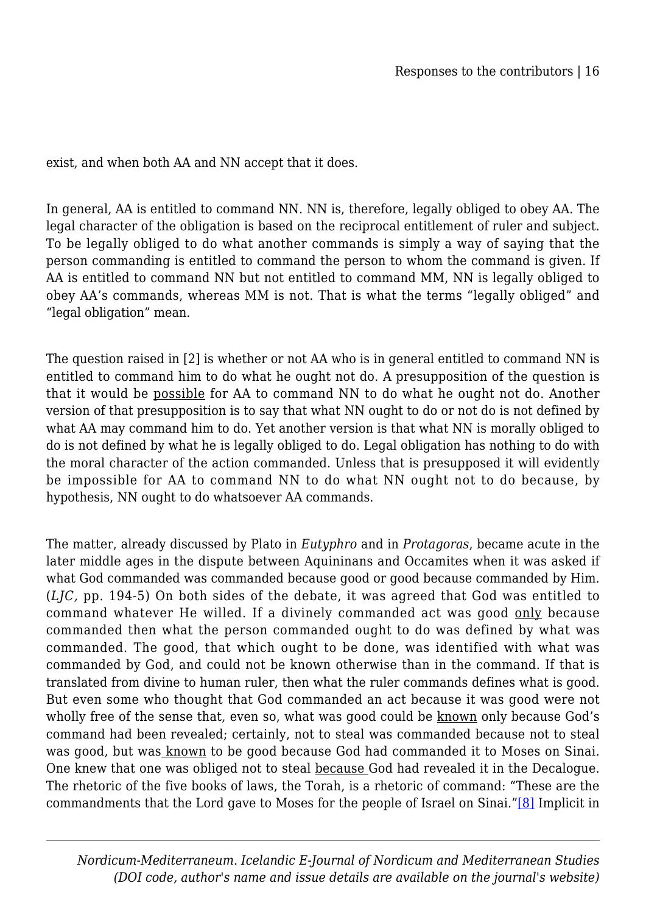exist, and when both AA and NN accept that it does.

In general, AA is entitled to command NN. NN is, therefore, legally obliged to obey AA. The legal character of the obligation is based on the reciprocal entitlement of ruler and subject. To be legally obliged to do what another commands is simply a way of saying that the person commanding is entitled to command the person to whom the command is given. If AA is entitled to command NN but not entitled to command MM, NN is legally obliged to obey AA's commands, whereas MM is not. That is what the terms "legally obliged" and "legal obligation" mean.

The question raised in [2] is whether or not AA who is in general entitled to command NN is entitled to command him to do what he ought not do. A presupposition of the question is that it would be possible for AA to command NN to do what he ought not do. Another version of that presupposition is to say that what NN ought to do or not do is not defined by what AA may command him to do. Yet another version is that what NN is morally obliged to do is not defined by what he is legally obliged to do. Legal obligation has nothing to do with the moral character of the action commanded. Unless that is presupposed it will evidently be impossible for AA to command NN to do what NN ought not to do because, by hypothesis, NN ought to do whatsoever AA commands.

The matter, already discussed by Plato in *Eutyphro* and in *Protagoras*, became acute in the later middle ages in the dispute between Aquininans and Occamites when it was asked if what God commanded was commanded because good or good because commanded by Him. (*LJC,* pp. 194-5) On both sides of the debate, it was agreed that God was entitled to command whatever He willed. If a divinely commanded act was good only because commanded then what the person commanded ought to do was defined by what was commanded. The good, that which ought to be done, was identified with what was commanded by God, and could not be known otherwise than in the command. If that is translated from divine to human ruler, then what the ruler commands defines what is good. But even some who thought that God commanded an act because it was good were not wholly free of the sense that, even so, what was good could be known only because God's command had been revealed; certainly, not to steal was commanded because not to steal was good, but was known to be good because God had commanded it to Moses on Sinai. One knew that one was obliged not to steal because God had revealed it in the Decalogue. The rhetoric of the five books of laws, the Torah, is a rhetoric of command: "These are the commandments that the Lord gave to Moses for the people of Israel on Sinai.["\[8\]](#page--1-0) Implicit in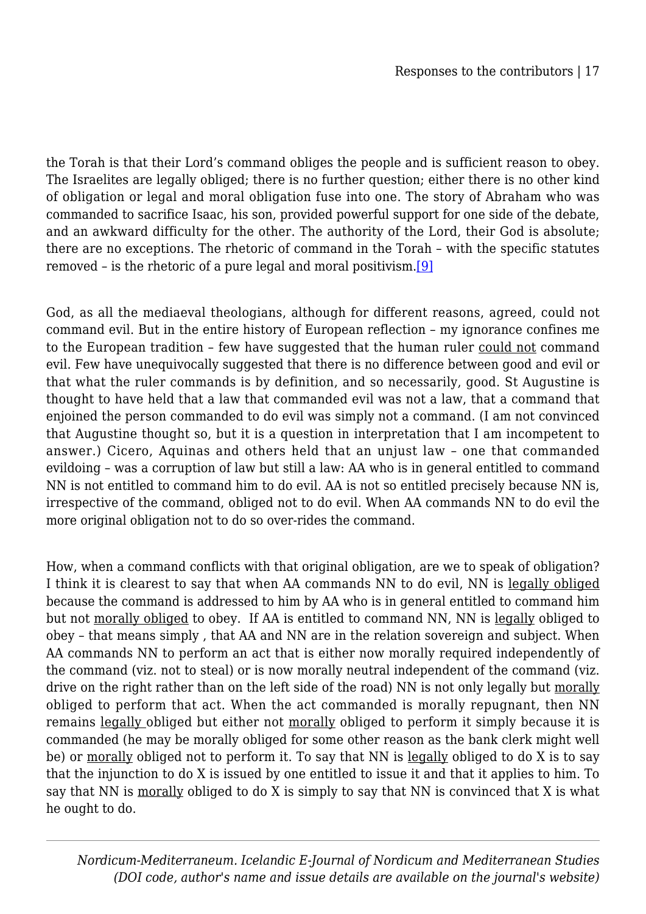the Torah is that their Lord's command obliges the people and is sufficient reason to obey. The Israelites are legally obliged; there is no further question; either there is no other kind of obligation or legal and moral obligation fuse into one. The story of Abraham who was commanded to sacrifice Isaac, his son, provided powerful support for one side of the debate, and an awkward difficulty for the other. The authority of the Lord, their God is absolute; there are no exceptions. The rhetoric of command in the Torah – with the specific statutes removed – is the rhetoric of a pure legal and moral positivism[.\[9\]](#page--1-0)

God, as all the mediaeval theologians, although for different reasons, agreed, could not command evil. But in the entire history of European reflection – my ignorance confines me to the European tradition – few have suggested that the human ruler could not command evil. Few have unequivocally suggested that there is no difference between good and evil or that what the ruler commands is by definition, and so necessarily, good. St Augustine is thought to have held that a law that commanded evil was not a law, that a command that enjoined the person commanded to do evil was simply not a command. (I am not convinced that Augustine thought so, but it is a question in interpretation that I am incompetent to answer.) Cicero, Aquinas and others held that an unjust law – one that commanded evildoing – was a corruption of law but still a law: AA who is in general entitled to command NN is not entitled to command him to do evil. AA is not so entitled precisely because NN is, irrespective of the command, obliged not to do evil. When AA commands NN to do evil the more original obligation not to do so over-rides the command.

How, when a command conflicts with that original obligation, are we to speak of obligation? I think it is clearest to say that when AA commands NN to do evil, NN is legally obliged because the command is addressed to him by AA who is in general entitled to command him but not morally obliged to obey. If AA is entitled to command NN, NN is legally obliged to obey – that means simply , that AA and NN are in the relation sovereign and subject. When AA commands NN to perform an act that is either now morally required independently of the command (viz. not to steal) or is now morally neutral independent of the command (viz. drive on the right rather than on the left side of the road) NN is not only legally but morally obliged to perform that act. When the act commanded is morally repugnant, then NN remains legally obliged but either not morally obliged to perform it simply because it is commanded (he may be morally obliged for some other reason as the bank clerk might well be) or morally obliged not to perform it. To say that NN is legally obliged to do X is to say that the injunction to do X is issued by one entitled to issue it and that it applies to him. To say that NN is morally obliged to do X is simply to say that NN is convinced that X is what he ought to do.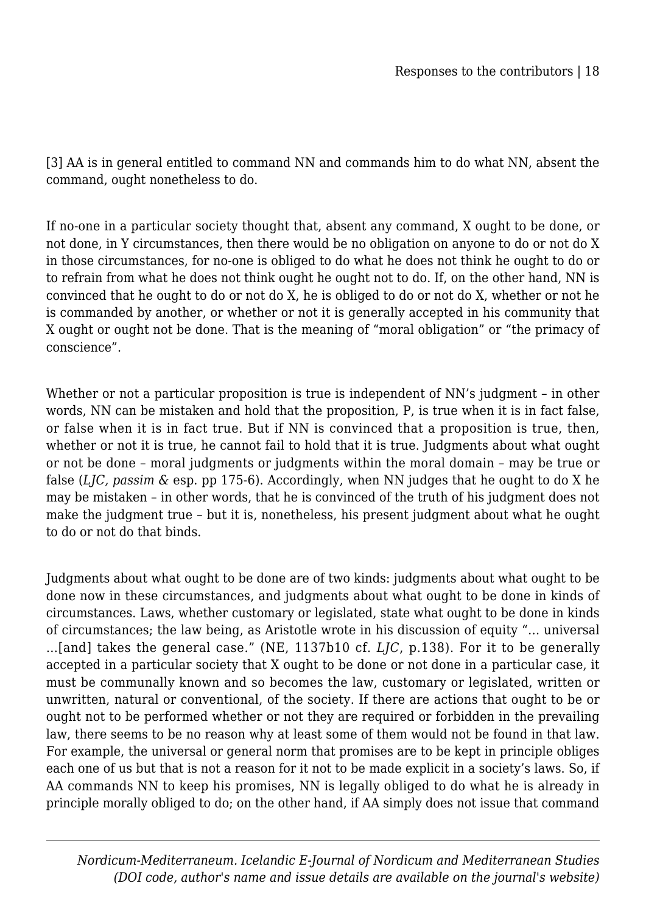[3] AA is in general entitled to command NN and commands him to do what NN, absent the command, ought nonetheless to do.

If no-one in a particular society thought that, absent any command, X ought to be done, or not done, in Y circumstances, then there would be no obligation on anyone to do or not do X in those circumstances, for no-one is obliged to do what he does not think he ought to do or to refrain from what he does not think ought he ought not to do. If, on the other hand, NN is convinced that he ought to do or not do X, he is obliged to do or not do X, whether or not he is commanded by another, or whether or not it is generally accepted in his community that X ought or ought not be done. That is the meaning of "moral obligation" or "the primacy of conscience".

Whether or not a particular proposition is true is independent of NN's judgment - in other words, NN can be mistaken and hold that the proposition, P, is true when it is in fact false, or false when it is in fact true. But if NN is convinced that a proposition is true, then, whether or not it is true, he cannot fail to hold that it is true. Judgments about what ought or not be done – moral judgments or judgments within the moral domain – may be true or false (*LJC, passim &* esp. pp 175-6). Accordingly, when NN judges that he ought to do X he may be mistaken – in other words, that he is convinced of the truth of his judgment does not make the judgment true – but it is, nonetheless, his present judgment about what he ought to do or not do that binds.

Judgments about what ought to be done are of two kinds: judgments about what ought to be done now in these circumstances, and judgments about what ought to be done in kinds of circumstances. Laws, whether customary or legislated, state what ought to be done in kinds of circumstances; the law being, as Aristotle wrote in his discussion of equity "… universal …[and] takes the general case." (NE, 1137b10 cf. *LJC*, p.138). For it to be generally accepted in a particular society that X ought to be done or not done in a particular case, it must be communally known and so becomes the law, customary or legislated, written or unwritten, natural or conventional, of the society. If there are actions that ought to be or ought not to be performed whether or not they are required or forbidden in the prevailing law, there seems to be no reason why at least some of them would not be found in that law. For example, the universal or general norm that promises are to be kept in principle obliges each one of us but that is not a reason for it not to be made explicit in a society's laws. So, if AA commands NN to keep his promises, NN is legally obliged to do what he is already in principle morally obliged to do; on the other hand, if AA simply does not issue that command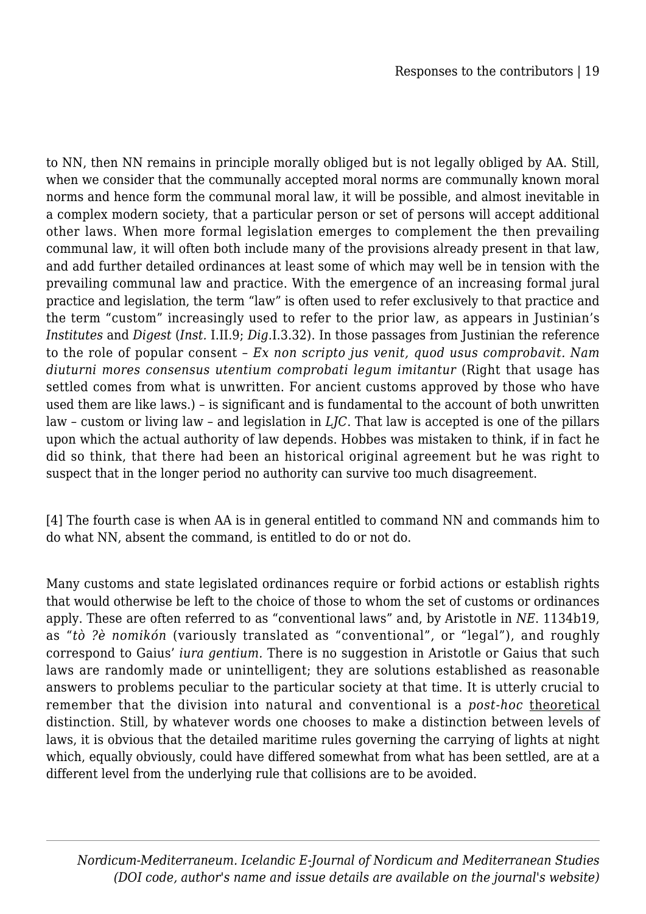to NN, then NN remains in principle morally obliged but is not legally obliged by AA. Still, when we consider that the communally accepted moral norms are communally known moral norms and hence form the communal moral law, it will be possible, and almost inevitable in a complex modern society, that a particular person or set of persons will accept additional other laws. When more formal legislation emerges to complement the then prevailing communal law, it will often both include many of the provisions already present in that law, and add further detailed ordinances at least some of which may well be in tension with the prevailing communal law and practice. With the emergence of an increasing formal jural practice and legislation, the term "law" is often used to refer exclusively to that practice and the term "custom" increasingly used to refer to the prior law, as appears in Justinian's *Institutes* and *Digest* (*Inst.* I.II.9; *Dig.*I.3.32). In those passages from Justinian the reference to the role of popular consent – *Ex non scripto jus venit, quod usus comprobavit. Nam diuturni mores consensus utentium comprobati legum imitantur* (Right that usage has settled comes from what is unwritten. For ancient customs approved by those who have used them are like laws.) – is significant and is fundamental to the account of both unwritten law – custom or living law – and legislation in *LJC*. That law is accepted is one of the pillars upon which the actual authority of law depends. Hobbes was mistaken to think, if in fact he did so think, that there had been an historical original agreement but he was right to suspect that in the longer period no authority can survive too much disagreement.

[4] The fourth case is when AA is in general entitled to command NN and commands him to do what NN, absent the command, is entitled to do or not do.

Many customs and state legislated ordinances require or forbid actions or establish rights that would otherwise be left to the choice of those to whom the set of customs or ordinances apply. These are often referred to as "conventional laws" and, by Aristotle in *NE*. 1134b19, as "*tò ?è nomikón* (variously translated as "conventional", or "legal"), and roughly correspond to Gaius' *iura gentium.* There is no suggestion in Aristotle or Gaius that such laws are randomly made or unintelligent; they are solutions established as reasonable answers to problems peculiar to the particular society at that time. It is utterly crucial to remember that the division into natural and conventional is a *post-hoc* theoretical distinction. Still, by whatever words one chooses to make a distinction between levels of laws, it is obvious that the detailed maritime rules governing the carrying of lights at night which, equally obviously, could have differed somewhat from what has been settled, are at a different level from the underlying rule that collisions are to be avoided.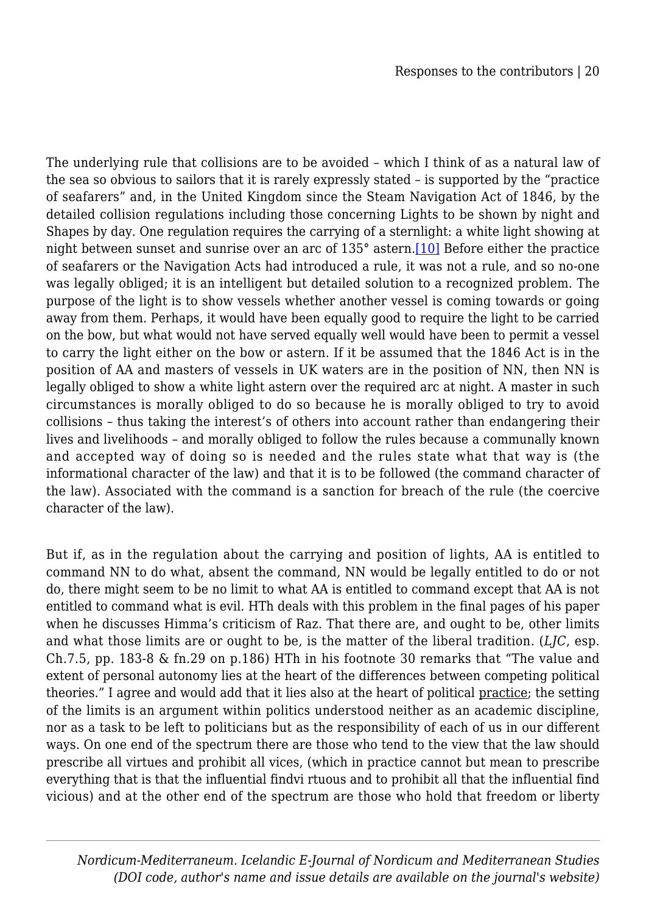The underlying rule that collisions are to be avoided – which I think of as a natural law of the sea so obvious to sailors that it is rarely expressly stated – is supported by the "practice of seafarers" and, in the United Kingdom since the Steam Navigation Act of 1846, by the detailed collision regulations including those concerning Lights to be shown by night and Shapes by day. One regulation requires the carrying of a sternlight: a white light showing at night between sunset and sunrise over an arc of 135° astern.[\[10\]](#page--1-0) Before either the practice of seafarers or the Navigation Acts had introduced a rule, it was not a rule, and so no-one was legally obliged; it is an intelligent but detailed solution to a recognized problem. The purpose of the light is to show vessels whether another vessel is coming towards or going away from them. Perhaps, it would have been equally good to require the light to be carried on the bow, but what would not have served equally well would have been to permit a vessel to carry the light either on the bow or astern. If it be assumed that the 1846 Act is in the position of AA and masters of vessels in UK waters are in the position of NN, then NN is legally obliged to show a white light astern over the required arc at night. A master in such circumstances is morally obliged to do so because he is morally obliged to try to avoid collisions – thus taking the interest's of others into account rather than endangering their lives and livelihoods – and morally obliged to follow the rules because a communally known and accepted way of doing so is needed and the rules state what that way is (the informational character of the law) and that it is to be followed (the command character of the law). Associated with the command is a sanction for breach of the rule (the coercive character of the law).

But if, as in the regulation about the carrying and position of lights, AA is entitled to command NN to do what, absent the command, NN would be legally entitled to do or not do, there might seem to be no limit to what AA is entitled to command except that AA is not entitled to command what is evil. HTh deals with this problem in the final pages of his paper when he discusses Himma's criticism of Raz. That there are, and ought to be, other limits and what those limits are or ought to be, is the matter of the liberal tradition. (*LJC*, esp. Ch.7.5, pp. 183-8 & fn.29 on p.186) HTh in his footnote 30 remarks that "The value and extent of personal autonomy lies at the heart of the differences between competing political theories." I agree and would add that it lies also at the heart of political practice; the setting of the limits is an argument within politics understood neither as an academic discipline, nor as a task to be left to politicians but as the responsibility of each of us in our different ways. On one end of the spectrum there are those who tend to the view that the law should prescribe all virtues and prohibit all vices, (which in practice cannot but mean to prescribe everything that is that the influential findvi rtuous and to prohibit all that the influential find vicious) and at the other end of the spectrum are those who hold that freedom or liberty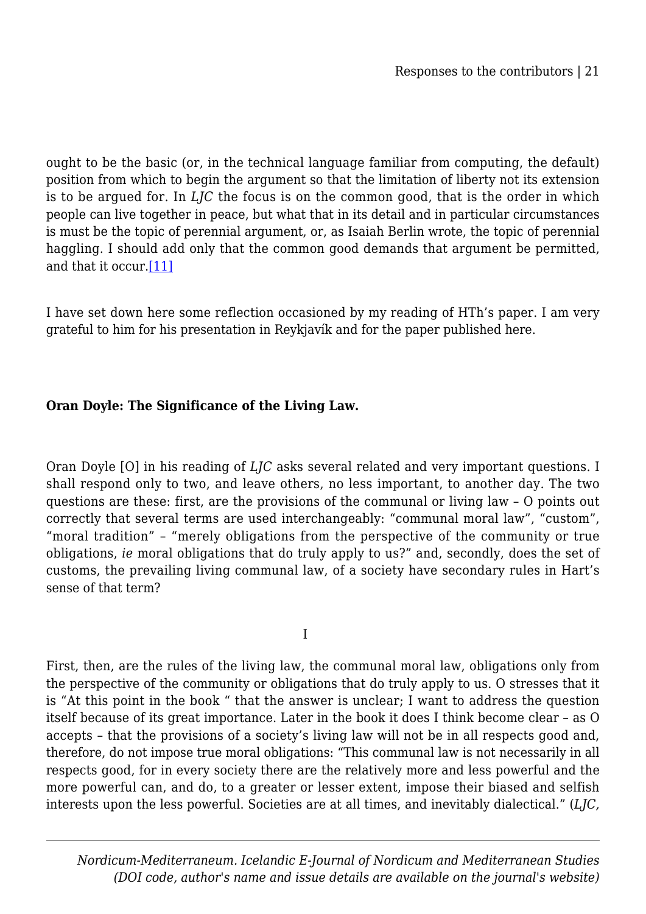ought to be the basic (or, in the technical language familiar from computing, the default) position from which to begin the argument so that the limitation of liberty not its extension is to be argued for. In *LJC* the focus is on the common good, that is the order in which people can live together in peace, but what that in its detail and in particular circumstances is must be the topic of perennial argument, or, as Isaiah Berlin wrote, the topic of perennial haggling. I should add only that the common good demands that argument be permitted, and that it occur[.\[11\]](#page--1-0)

I have set down here some reflection occasioned by my reading of HTh's paper. I am very grateful to him for his presentation in Reykjavík and for the paper published here.

### **Oran Doyle: The Significance of the Living Law.**

Oran Doyle [O] in his reading of *LJC* asks several related and very important questions. I shall respond only to two, and leave others, no less important, to another day. The two questions are these: first, are the provisions of the communal or living law – O points out correctly that several terms are used interchangeably: "communal moral law", "custom", "moral tradition" – "merely obligations from the perspective of the community or true obligations, *ie* moral obligations that do truly apply to us?" and, secondly, does the set of customs, the prevailing living communal law, of a society have secondary rules in Hart's sense of that term?

I

First, then, are the rules of the living law, the communal moral law, obligations only from the perspective of the community or obligations that do truly apply to us. O stresses that it is "At this point in the book " that the answer is unclear; I want to address the question itself because of its great importance. Later in the book it does I think become clear – as O accepts – that the provisions of a society's living law will not be in all respects good and, therefore, do not impose true moral obligations: "This communal law is not necessarily in all respects good, for in every society there are the relatively more and less powerful and the more powerful can, and do, to a greater or lesser extent, impose their biased and selfish interests upon the less powerful. Societies are at all times, and inevitably dialectical." (*LJC,*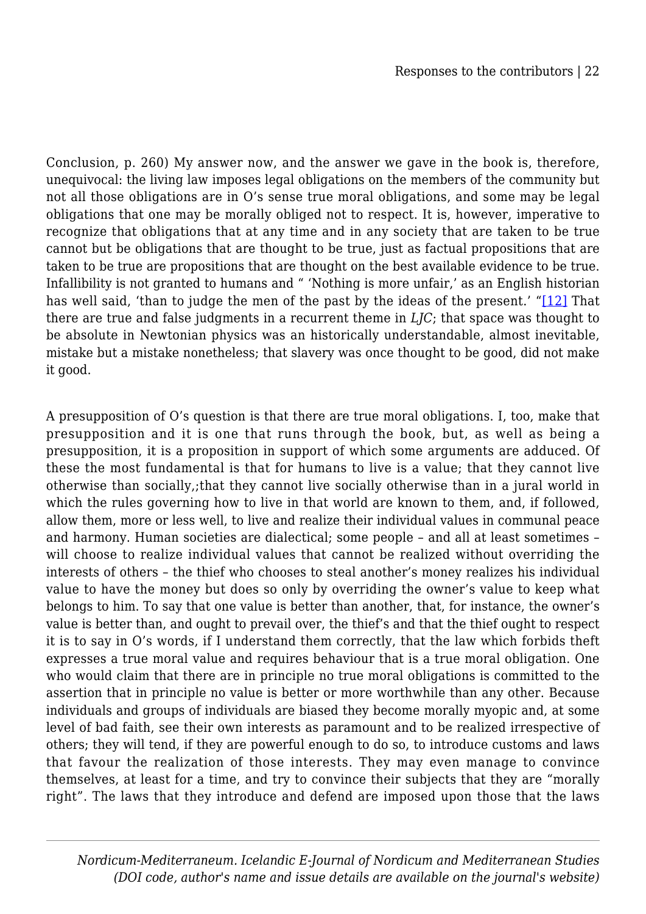Conclusion, p. 260) My answer now, and the answer we gave in the book is, therefore, unequivocal: the living law imposes legal obligations on the members of the community but not all those obligations are in O's sense true moral obligations, and some may be legal obligations that one may be morally obliged not to respect. It is, however, imperative to recognize that obligations that at any time and in any society that are taken to be true cannot but be obligations that are thought to be true, just as factual propositions that are taken to be true are propositions that are thought on the best available evidence to be true. Infallibility is not granted to humans and " 'Nothing is more unfair,' as an English historian has well said, 'than to judge the men of the past by the ideas of the present.' "[\[12\]](#page--1-0) That there are true and false judgments in a recurrent theme in *LJC*; that space was thought to be absolute in Newtonian physics was an historically understandable, almost inevitable, mistake but a mistake nonetheless; that slavery was once thought to be good, did not make it good.

A presupposition of O's question is that there are true moral obligations. I, too, make that presupposition and it is one that runs through the book, but, as well as being a presupposition, it is a proposition in support of which some arguments are adduced. Of these the most fundamental is that for humans to live is a value; that they cannot live otherwise than socially,;that they cannot live socially otherwise than in a jural world in which the rules governing how to live in that world are known to them, and, if followed, allow them, more or less well, to live and realize their individual values in communal peace and harmony. Human societies are dialectical; some people – and all at least sometimes – will choose to realize individual values that cannot be realized without overriding the interests of others – the thief who chooses to steal another's money realizes his individual value to have the money but does so only by overriding the owner's value to keep what belongs to him. To say that one value is better than another, that, for instance, the owner's value is better than, and ought to prevail over, the thief's and that the thief ought to respect it is to say in O's words, if I understand them correctly, that the law which forbids theft expresses a true moral value and requires behaviour that is a true moral obligation. One who would claim that there are in principle no true moral obligations is committed to the assertion that in principle no value is better or more worthwhile than any other. Because individuals and groups of individuals are biased they become morally myopic and, at some level of bad faith, see their own interests as paramount and to be realized irrespective of others; they will tend, if they are powerful enough to do so, to introduce customs and laws that favour the realization of those interests. They may even manage to convince themselves, at least for a time, and try to convince their subjects that they are "morally right". The laws that they introduce and defend are imposed upon those that the laws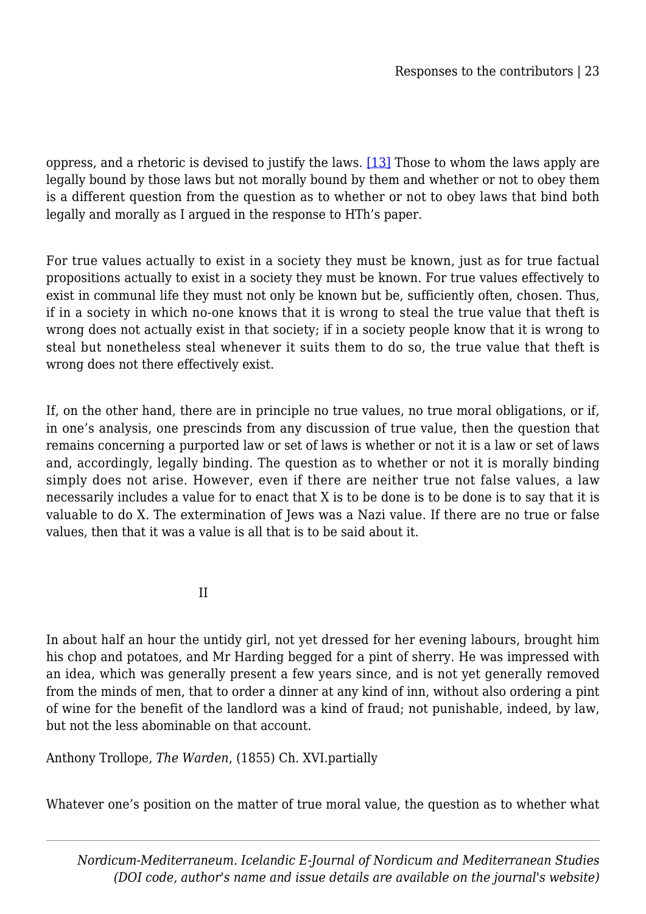oppress, and a rhetoric is devised to justify the laws. [\[13\]](#page--1-0) Those to whom the laws apply are legally bound by those laws but not morally bound by them and whether or not to obey them is a different question from the question as to whether or not to obey laws that bind both legally and morally as I argued in the response to HTh's paper.

For true values actually to exist in a society they must be known, just as for true factual propositions actually to exist in a society they must be known. For true values effectively to exist in communal life they must not only be known but be, sufficiently often, chosen. Thus, if in a society in which no-one knows that it is wrong to steal the true value that theft is wrong does not actually exist in that society; if in a society people know that it is wrong to steal but nonetheless steal whenever it suits them to do so, the true value that theft is wrong does not there effectively exist.

If, on the other hand, there are in principle no true values, no true moral obligations, or if, in one's analysis, one prescinds from any discussion of true value, then the question that remains concerning a purported law or set of laws is whether or not it is a law or set of laws and, accordingly, legally binding. The question as to whether or not it is morally binding simply does not arise. However, even if there are neither true not false values, a law necessarily includes a value for to enact that X is to be done is to be done is to say that it is valuable to do X. The extermination of Jews was a Nazi value. If there are no true or false values, then that it was a value is all that is to be said about it.

<u>II amin'ny fivondronan-kaominin'i T</u>

In about half an hour the untidy girl, not yet dressed for her evening labours, brought him his chop and potatoes, and Mr Harding begged for a pint of sherry. He was impressed with an idea, which was generally present a few years since, and is not yet generally removed from the minds of men, that to order a dinner at any kind of inn, without also ordering a pint of wine for the benefit of the landlord was a kind of fraud; not punishable, indeed, by law, but not the less abominable on that account.

Anthony Trollope, *The Warden*, (1855) Ch. XVI.partially

Whatever one's position on the matter of true moral value, the question as to whether what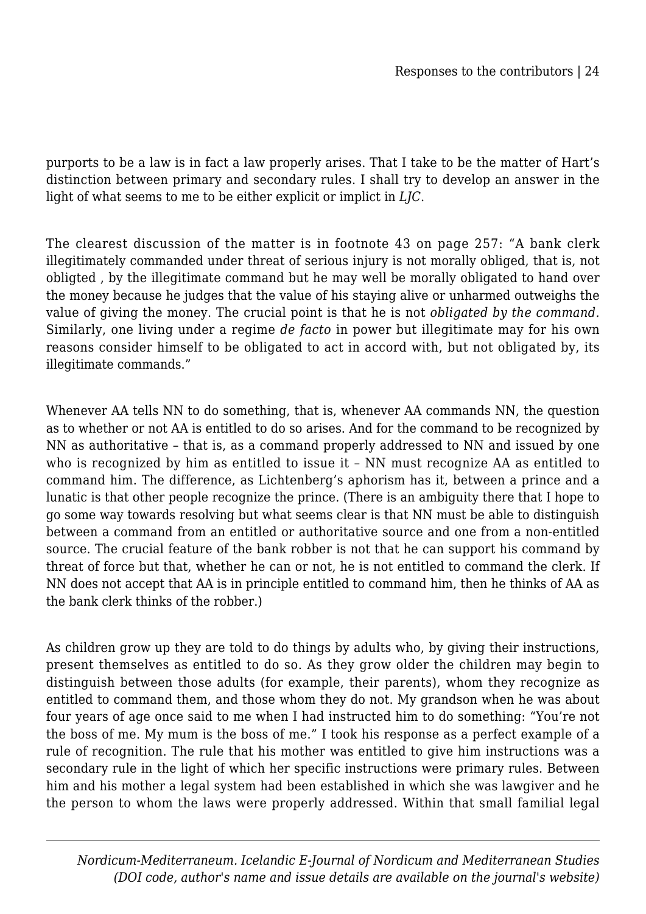purports to be a law is in fact a law properly arises. That I take to be the matter of Hart's distinction between primary and secondary rules. I shall try to develop an answer in the light of what seems to me to be either explicit or implict in *LJC.*

The clearest discussion of the matter is in footnote 43 on page 257: "A bank clerk illegitimately commanded under threat of serious injury is not morally obliged, that is, not obligted , by the illegitimate command but he may well be morally obligated to hand over the money because he judges that the value of his staying alive or unharmed outweighs the value of giving the money. The crucial point is that he is not *obligated by the command.* Similarly, one living under a regime *de facto* in power but illegitimate may for his own reasons consider himself to be obligated to act in accord with, but not obligated by, its illegitimate commands."

Whenever AA tells NN to do something, that is, whenever AA commands NN, the question as to whether or not AA is entitled to do so arises. And for the command to be recognized by NN as authoritative – that is, as a command properly addressed to NN and issued by one who is recognized by him as entitled to issue it – NN must recognize AA as entitled to command him. The difference, as Lichtenberg's aphorism has it, between a prince and a lunatic is that other people recognize the prince. (There is an ambiguity there that I hope to go some way towards resolving but what seems clear is that NN must be able to distinguish between a command from an entitled or authoritative source and one from a non-entitled source. The crucial feature of the bank robber is not that he can support his command by threat of force but that, whether he can or not, he is not entitled to command the clerk. If NN does not accept that AA is in principle entitled to command him, then he thinks of AA as the bank clerk thinks of the robber.)

As children grow up they are told to do things by adults who, by giving their instructions, present themselves as entitled to do so. As they grow older the children may begin to distinguish between those adults (for example, their parents), whom they recognize as entitled to command them, and those whom they do not. My grandson when he was about four years of age once said to me when I had instructed him to do something: "You're not the boss of me. My mum is the boss of me." I took his response as a perfect example of a rule of recognition. The rule that his mother was entitled to give him instructions was a secondary rule in the light of which her specific instructions were primary rules. Between him and his mother a legal system had been established in which she was lawgiver and he the person to whom the laws were properly addressed. Within that small familial legal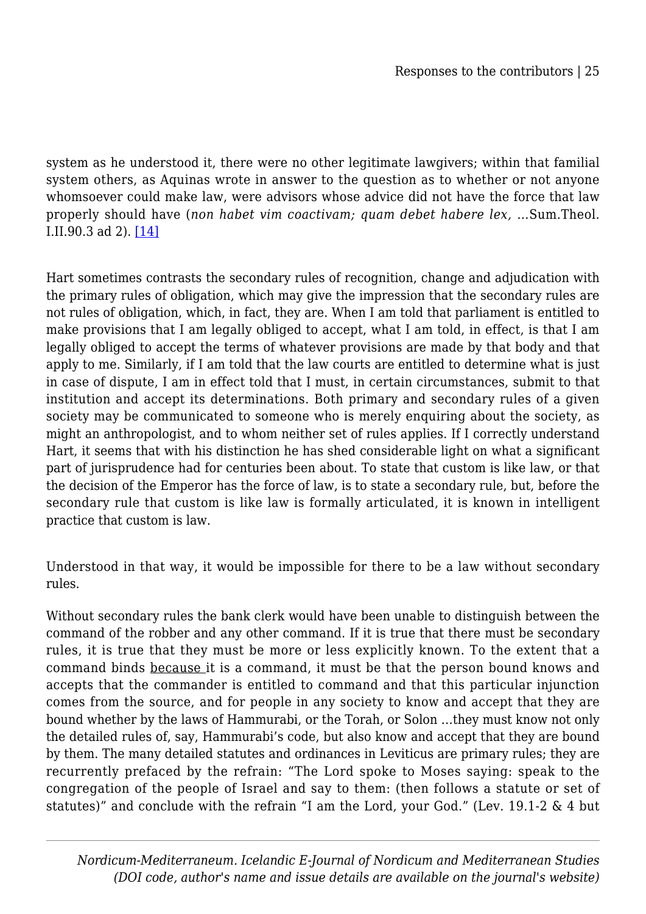system as he understood it, there were no other legitimate lawgivers; within that familial system others, as Aquinas wrote in answer to the question as to whether or not anyone whomsoever could make law, were advisors whose advice did not have the force that law properly should have (*non habet vim coactivam; quam debet habere lex, …*Sum.Theol. I.II.90.3 ad 2). [\[14\]](#page--1-0)

Hart sometimes contrasts the secondary rules of recognition, change and adjudication with the primary rules of obligation, which may give the impression that the secondary rules are not rules of obligation, which, in fact, they are. When I am told that parliament is entitled to make provisions that I am legally obliged to accept, what I am told, in effect, is that I am legally obliged to accept the terms of whatever provisions are made by that body and that apply to me. Similarly, if I am told that the law courts are entitled to determine what is just in case of dispute, I am in effect told that I must, in certain circumstances, submit to that institution and accept its determinations. Both primary and secondary rules of a given society may be communicated to someone who is merely enquiring about the society, as might an anthropologist, and to whom neither set of rules applies. If I correctly understand Hart, it seems that with his distinction he has shed considerable light on what a significant part of jurisprudence had for centuries been about. To state that custom is like law, or that the decision of the Emperor has the force of law, is to state a secondary rule, but, before the secondary rule that custom is like law is formally articulated, it is known in intelligent practice that custom is law.

Understood in that way, it would be impossible for there to be a law without secondary rules.

Without secondary rules the bank clerk would have been unable to distinguish between the command of the robber and any other command. If it is true that there must be secondary rules, it is true that they must be more or less explicitly known. To the extent that a command binds because it is a command, it must be that the person bound knows and accepts that the commander is entitled to command and that this particular injunction comes from the source, and for people in any society to know and accept that they are bound whether by the laws of Hammurabi, or the Torah, or Solon …they must know not only the detailed rules of, say, Hammurabi's code, but also know and accept that they are bound by them. The many detailed statutes and ordinances in Leviticus are primary rules; they are recurrently prefaced by the refrain: "The Lord spoke to Moses saying: speak to the congregation of the people of Israel and say to them: (then follows a statute or set of statutes)" and conclude with the refrain "I am the Lord, your God." (Lev. 19.1-2 & 4 but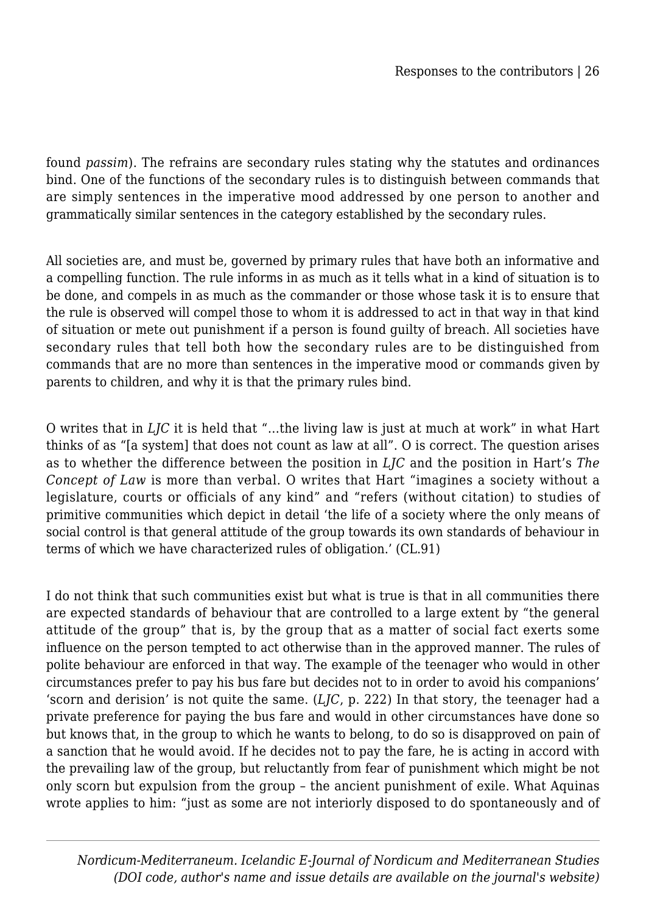found *passim*). The refrains are secondary rules stating why the statutes and ordinances bind. One of the functions of the secondary rules is to distinguish between commands that are simply sentences in the imperative mood addressed by one person to another and grammatically similar sentences in the category established by the secondary rules.

All societies are, and must be, governed by primary rules that have both an informative and a compelling function. The rule informs in as much as it tells what in a kind of situation is to be done, and compels in as much as the commander or those whose task it is to ensure that the rule is observed will compel those to whom it is addressed to act in that way in that kind of situation or mete out punishment if a person is found guilty of breach. All societies have secondary rules that tell both how the secondary rules are to be distinguished from commands that are no more than sentences in the imperative mood or commands given by parents to children, and why it is that the primary rules bind.

O writes that in *LJC* it is held that "…the living law is just at much at work" in what Hart thinks of as "[a system] that does not count as law at all". O is correct. The question arises as to whether the difference between the position in *LJC* and the position in Hart's *The Concept of Law* is more than verbal. O writes that Hart "imagines a society without a legislature, courts or officials of any kind" and "refers (without citation) to studies of primitive communities which depict in detail 'the life of a society where the only means of social control is that general attitude of the group towards its own standards of behaviour in terms of which we have characterized rules of obligation.' (CL.91)

I do not think that such communities exist but what is true is that in all communities there are expected standards of behaviour that are controlled to a large extent by "the general attitude of the group" that is, by the group that as a matter of social fact exerts some influence on the person tempted to act otherwise than in the approved manner. The rules of polite behaviour are enforced in that way. The example of the teenager who would in other circumstances prefer to pay his bus fare but decides not to in order to avoid his companions' 'scorn and derision' is not quite the same. (*LJC*, p. 222) In that story, the teenager had a private preference for paying the bus fare and would in other circumstances have done so but knows that, in the group to which he wants to belong, to do so is disapproved on pain of a sanction that he would avoid. If he decides not to pay the fare, he is acting in accord with the prevailing law of the group, but reluctantly from fear of punishment which might be not only scorn but expulsion from the group – the ancient punishment of exile. What Aquinas wrote applies to him: "just as some are not interiorly disposed to do spontaneously and of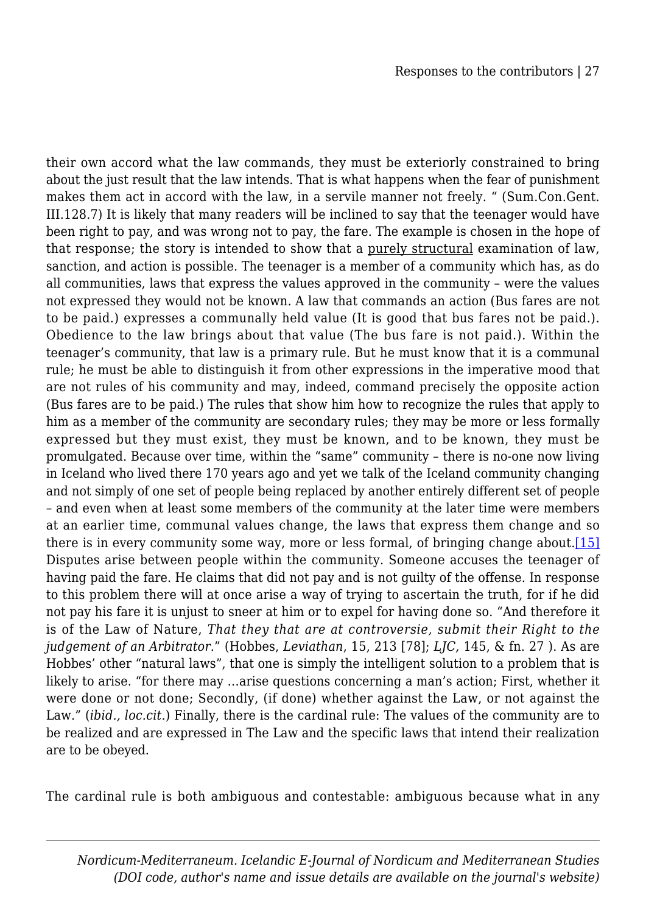their own accord what the law commands, they must be exteriorly constrained to bring about the just result that the law intends. That is what happens when the fear of punishment makes them act in accord with the law, in a servile manner not freely. " (Sum.Con.Gent. III.128.7) It is likely that many readers will be inclined to say that the teenager would have been right to pay, and was wrong not to pay, the fare. The example is chosen in the hope of that response; the story is intended to show that a purely structural examination of law, sanction, and action is possible. The teenager is a member of a community which has, as do all communities, laws that express the values approved in the community – were the values not expressed they would not be known. A law that commands an action (Bus fares are not to be paid.) expresses a communally held value (It is good that bus fares not be paid.). Obedience to the law brings about that value (The bus fare is not paid.). Within the teenager's community, that law is a primary rule. But he must know that it is a communal rule; he must be able to distinguish it from other expressions in the imperative mood that are not rules of his community and may, indeed, command precisely the opposite action (Bus fares are to be paid.) The rules that show him how to recognize the rules that apply to him as a member of the community are secondary rules; they may be more or less formally expressed but they must exist, they must be known, and to be known, they must be promulgated. Because over time, within the "same" community – there is no-one now living in Iceland who lived there 170 years ago and yet we talk of the Iceland community changing and not simply of one set of people being replaced by another entirely different set of people – and even when at least some members of the community at the later time were members at an earlier time, communal values change, the laws that express them change and so there is in every community some way, more or less formal, of bringing change about. $[15]$ Disputes arise between people within the community. Someone accuses the teenager of having paid the fare. He claims that did not pay and is not guilty of the offense. In response to this problem there will at once arise a way of trying to ascertain the truth, for if he did not pay his fare it is unjust to sneer at him or to expel for having done so. "And therefore it is of the Law of Nature, *That they that are at controversie, submit their Right to the judgement of an Arbitrator*." (Hobbes, *Leviathan*, 15, 213 [78]; *LJC,* 145, & fn. 27 ). As are Hobbes' other "natural laws", that one is simply the intelligent solution to a problem that is likely to arise. "for there may …arise questions concerning a man's action; First, whether it were done or not done; Secondly, (if done) whether against the Law, or not against the Law." (*ibid., loc.cit.*) Finally, there is the cardinal rule: The values of the community are to be realized and are expressed in The Law and the specific laws that intend their realization are to be obeyed.

The cardinal rule is both ambiguous and contestable: ambiguous because what in any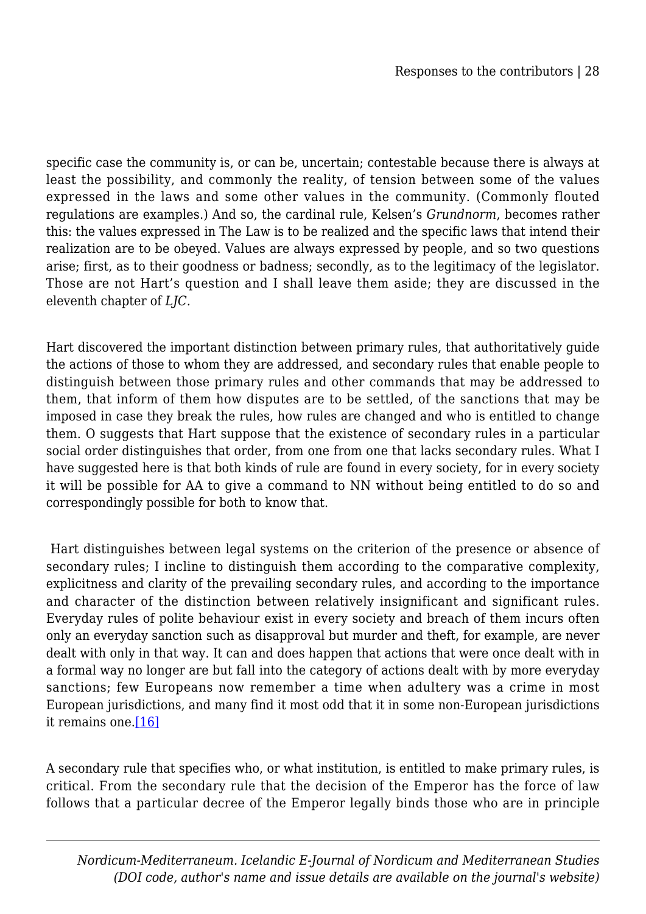specific case the community is, or can be, uncertain; contestable because there is always at least the possibility, and commonly the reality, of tension between some of the values expressed in the laws and some other values in the community. (Commonly flouted regulations are examples.) And so, the cardinal rule, Kelsen's *Grundnorm*, becomes rather this: the values expressed in The Law is to be realized and the specific laws that intend their realization are to be obeyed. Values are always expressed by people, and so two questions arise; first, as to their goodness or badness; secondly, as to the legitimacy of the legislator. Those are not Hart's question and I shall leave them aside; they are discussed in the eleventh chapter of *LJC.*

Hart discovered the important distinction between primary rules, that authoritatively guide the actions of those to whom they are addressed, and secondary rules that enable people to distinguish between those primary rules and other commands that may be addressed to them, that inform of them how disputes are to be settled, of the sanctions that may be imposed in case they break the rules, how rules are changed and who is entitled to change them. O suggests that Hart suppose that the existence of secondary rules in a particular social order distinguishes that order, from one from one that lacks secondary rules. What I have suggested here is that both kinds of rule are found in every society, for in every society it will be possible for AA to give a command to NN without being entitled to do so and correspondingly possible for both to know that.

 Hart distinguishes between legal systems on the criterion of the presence or absence of secondary rules; I incline to distinguish them according to the comparative complexity, explicitness and clarity of the prevailing secondary rules, and according to the importance and character of the distinction between relatively insignificant and significant rules. Everyday rules of polite behaviour exist in every society and breach of them incurs often only an everyday sanction such as disapproval but murder and theft, for example, are never dealt with only in that way. It can and does happen that actions that were once dealt with in a formal way no longer are but fall into the category of actions dealt with by more everyday sanctions; few Europeans now remember a time when adultery was a crime in most European jurisdictions, and many find it most odd that it in some non-European jurisdictions it remains one.[\[16\]](#page--1-0)

A secondary rule that specifies who, or what institution, is entitled to make primary rules, is critical. From the secondary rule that the decision of the Emperor has the force of law follows that a particular decree of the Emperor legally binds those who are in principle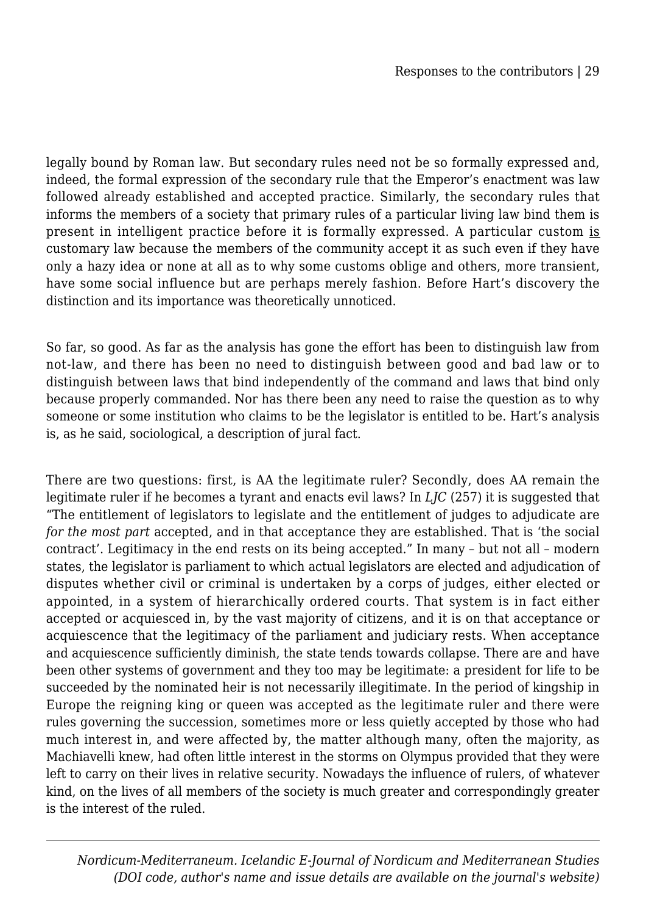legally bound by Roman law. But secondary rules need not be so formally expressed and, indeed, the formal expression of the secondary rule that the Emperor's enactment was law followed already established and accepted practice. Similarly, the secondary rules that informs the members of a society that primary rules of a particular living law bind them is present in intelligent practice before it is formally expressed. A particular custom is customary law because the members of the community accept it as such even if they have only a hazy idea or none at all as to why some customs oblige and others, more transient, have some social influence but are perhaps merely fashion. Before Hart's discovery the distinction and its importance was theoretically unnoticed.

So far, so good. As far as the analysis has gone the effort has been to distinguish law from not-law, and there has been no need to distinguish between good and bad law or to distinguish between laws that bind independently of the command and laws that bind only because properly commanded. Nor has there been any need to raise the question as to why someone or some institution who claims to be the legislator is entitled to be. Hart's analysis is, as he said, sociological, a description of jural fact.

There are two questions: first, is AA the legitimate ruler? Secondly, does AA remain the legitimate ruler if he becomes a tyrant and enacts evil laws? In *LJC* (257) it is suggested that "The entitlement of legislators to legislate and the entitlement of judges to adjudicate are *for the most part* accepted, and in that acceptance they are established. That is 'the social contract'. Legitimacy in the end rests on its being accepted." In many – but not all – modern states, the legislator is parliament to which actual legislators are elected and adjudication of disputes whether civil or criminal is undertaken by a corps of judges, either elected or appointed, in a system of hierarchically ordered courts. That system is in fact either accepted or acquiesced in, by the vast majority of citizens, and it is on that acceptance or acquiescence that the legitimacy of the parliament and judiciary rests. When acceptance and acquiescence sufficiently diminish, the state tends towards collapse. There are and have been other systems of government and they too may be legitimate: a president for life to be succeeded by the nominated heir is not necessarily illegitimate. In the period of kingship in Europe the reigning king or queen was accepted as the legitimate ruler and there were rules governing the succession, sometimes more or less quietly accepted by those who had much interest in, and were affected by, the matter although many, often the majority, as Machiavelli knew, had often little interest in the storms on Olympus provided that they were left to carry on their lives in relative security. Nowadays the influence of rulers, of whatever kind, on the lives of all members of the society is much greater and correspondingly greater is the interest of the ruled.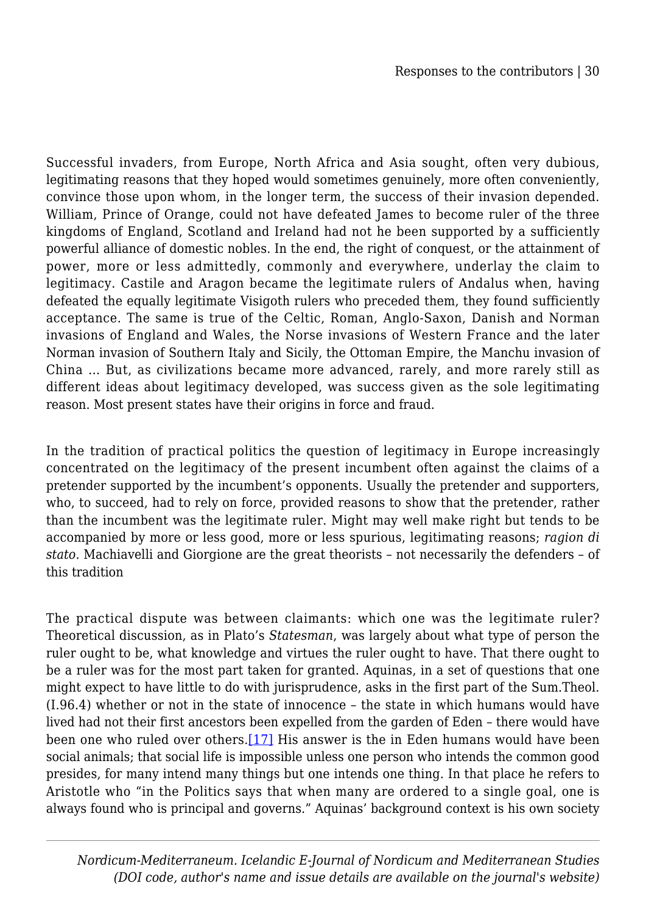Successful invaders, from Europe, North Africa and Asia sought, often very dubious, legitimating reasons that they hoped would sometimes genuinely, more often conveniently, convince those upon whom, in the longer term, the success of their invasion depended. William, Prince of Orange, could not have defeated James to become ruler of the three kingdoms of England, Scotland and Ireland had not he been supported by a sufficiently powerful alliance of domestic nobles. In the end, the right of conquest, or the attainment of power, more or less admittedly, commonly and everywhere, underlay the claim to legitimacy. Castile and Aragon became the legitimate rulers of Andalus when, having defeated the equally legitimate Visigoth rulers who preceded them, they found sufficiently acceptance. The same is true of the Celtic, Roman, Anglo-Saxon, Danish and Norman invasions of England and Wales, the Norse invasions of Western France and the later Norman invasion of Southern Italy and Sicily, the Ottoman Empire, the Manchu invasion of China … But, as civilizations became more advanced, rarely, and more rarely still as different ideas about legitimacy developed, was success given as the sole legitimating reason. Most present states have their origins in force and fraud.

In the tradition of practical politics the question of legitimacy in Europe increasingly concentrated on the legitimacy of the present incumbent often against the claims of a pretender supported by the incumbent's opponents. Usually the pretender and supporters, who, to succeed, had to rely on force, provided reasons to show that the pretender, rather than the incumbent was the legitimate ruler. Might may well make right but tends to be accompanied by more or less good, more or less spurious, legitimating reasons; *ragion di stato*. Machiavelli and Giorgione are the great theorists – not necessarily the defenders – of this tradition

The practical dispute was between claimants: which one was the legitimate ruler? Theoretical discussion, as in Plato's *Statesman*, was largely about what type of person the ruler ought to be, what knowledge and virtues the ruler ought to have. That there ought to be a ruler was for the most part taken for granted. Aquinas, in a set of questions that one might expect to have little to do with jurisprudence, asks in the first part of the Sum.Theol. (I.96.4) whether or not in the state of innocence – the state in which humans would have lived had not their first ancestors been expelled from the garden of Eden – there would have been one who ruled over others.[\[17\]](#page--1-0) His answer is the in Eden humans would have been social animals; that social life is impossible unless one person who intends the common good presides, for many intend many things but one intends one thing. In that place he refers to Aristotle who "in the Politics says that when many are ordered to a single goal, one is always found who is principal and governs." Aquinas' background context is his own society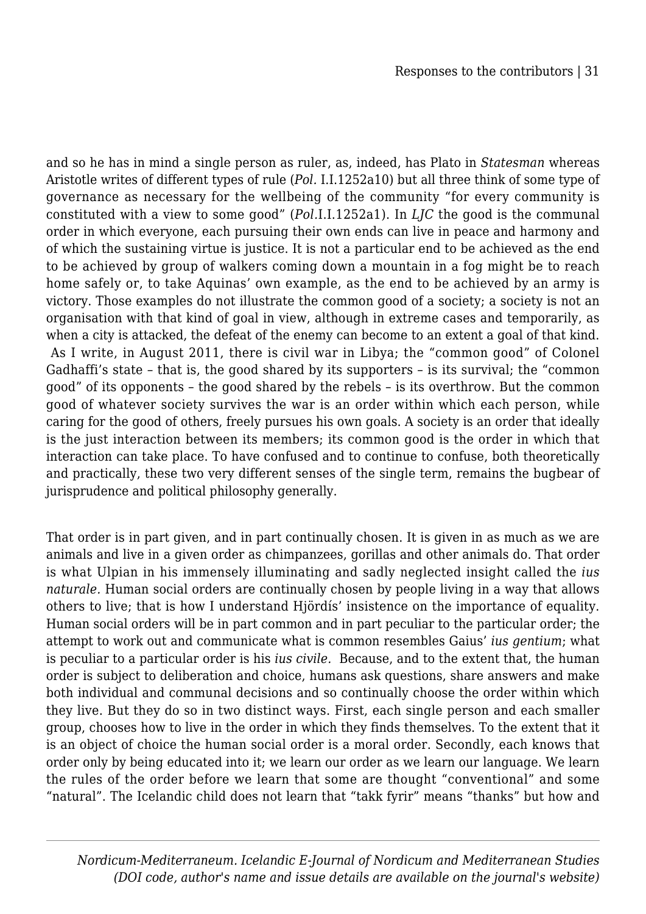and so he has in mind a single person as ruler, as, indeed, has Plato in *Statesman* whereas Aristotle writes of different types of rule (*Pol.* I.I.1252a10) but all three think of some type of governance as necessary for the wellbeing of the community "for every community is constituted with a view to some good" (*Pol.*I.I.1252a1). In *LJC* the good is the communal order in which everyone, each pursuing their own ends can live in peace and harmony and of which the sustaining virtue is justice. It is not a particular end to be achieved as the end to be achieved by group of walkers coming down a mountain in a fog might be to reach home safely or, to take Aquinas' own example, as the end to be achieved by an army is victory. Those examples do not illustrate the common good of a society; a society is not an organisation with that kind of goal in view, although in extreme cases and temporarily, as when a city is attacked, the defeat of the enemy can become to an extent a goal of that kind. As I write, in August 2011, there is civil war in Libya; the "common good" of Colonel Gadhaffi's state – that is, the good shared by its supporters – is its survival; the "common good" of its opponents – the good shared by the rebels – is its overthrow. But the common good of whatever society survives the war is an order within which each person, while caring for the good of others, freely pursues his own goals. A society is an order that ideally is the just interaction between its members; its common good is the order in which that interaction can take place. To have confused and to continue to confuse, both theoretically and practically, these two very different senses of the single term, remains the bugbear of jurisprudence and political philosophy generally.

That order is in part given, and in part continually chosen. It is given in as much as we are animals and live in a given order as chimpanzees, gorillas and other animals do. That order is what Ulpian in his immensely illuminating and sadly neglected insight called the *ius naturale.* Human social orders are continually chosen by people living in a way that allows others to live; that is how I understand Hjördís' insistence on the importance of equality. Human social orders will be in part common and in part peculiar to the particular order; the attempt to work out and communicate what is common resembles Gaius' *ius gentium*; what is peculiar to a particular order is his *ius civile.* Because, and to the extent that, the human order is subject to deliberation and choice, humans ask questions, share answers and make both individual and communal decisions and so continually choose the order within which they live. But they do so in two distinct ways. First, each single person and each smaller group, chooses how to live in the order in which they finds themselves. To the extent that it is an object of choice the human social order is a moral order. Secondly, each knows that order only by being educated into it; we learn our order as we learn our language. We learn the rules of the order before we learn that some are thought "conventional" and some "natural". The Icelandic child does not learn that "takk fyrir" means "thanks" but how and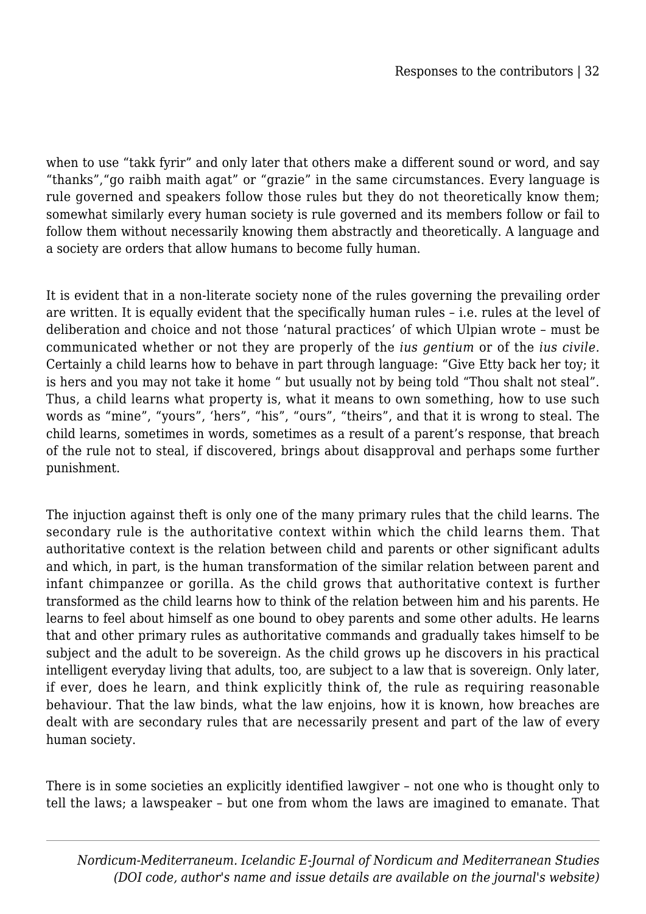when to use "takk fyrir" and only later that others make a different sound or word, and say "thanks","go raibh maith agat" or "grazie" in the same circumstances. Every language is rule governed and speakers follow those rules but they do not theoretically know them; somewhat similarly every human society is rule governed and its members follow or fail to follow them without necessarily knowing them abstractly and theoretically. A language and a society are orders that allow humans to become fully human.

It is evident that in a non-literate society none of the rules governing the prevailing order are written. It is equally evident that the specifically human rules – i.e. rules at the level of deliberation and choice and not those 'natural practices' of which Ulpian wrote – must be communicated whether or not they are properly of the *ius gentium* or of the *ius civile.* Certainly a child learns how to behave in part through language: "Give Etty back her toy; it is hers and you may not take it home " but usually not by being told "Thou shalt not steal". Thus, a child learns what property is, what it means to own something, how to use such words as "mine", "yours", 'hers", "his", "ours", "theirs", and that it is wrong to steal. The child learns, sometimes in words, sometimes as a result of a parent's response, that breach of the rule not to steal, if discovered, brings about disapproval and perhaps some further punishment.

The injuction against theft is only one of the many primary rules that the child learns. The secondary rule is the authoritative context within which the child learns them. That authoritative context is the relation between child and parents or other significant adults and which, in part, is the human transformation of the similar relation between parent and infant chimpanzee or gorilla. As the child grows that authoritative context is further transformed as the child learns how to think of the relation between him and his parents. He learns to feel about himself as one bound to obey parents and some other adults. He learns that and other primary rules as authoritative commands and gradually takes himself to be subject and the adult to be sovereign. As the child grows up he discovers in his practical intelligent everyday living that adults, too, are subject to a law that is sovereign. Only later, if ever, does he learn, and think explicitly think of, the rule as requiring reasonable behaviour. That the law binds, what the law enjoins, how it is known, how breaches are dealt with are secondary rules that are necessarily present and part of the law of every human society.

There is in some societies an explicitly identified lawgiver – not one who is thought only to tell the laws; a lawspeaker – but one from whom the laws are imagined to emanate. That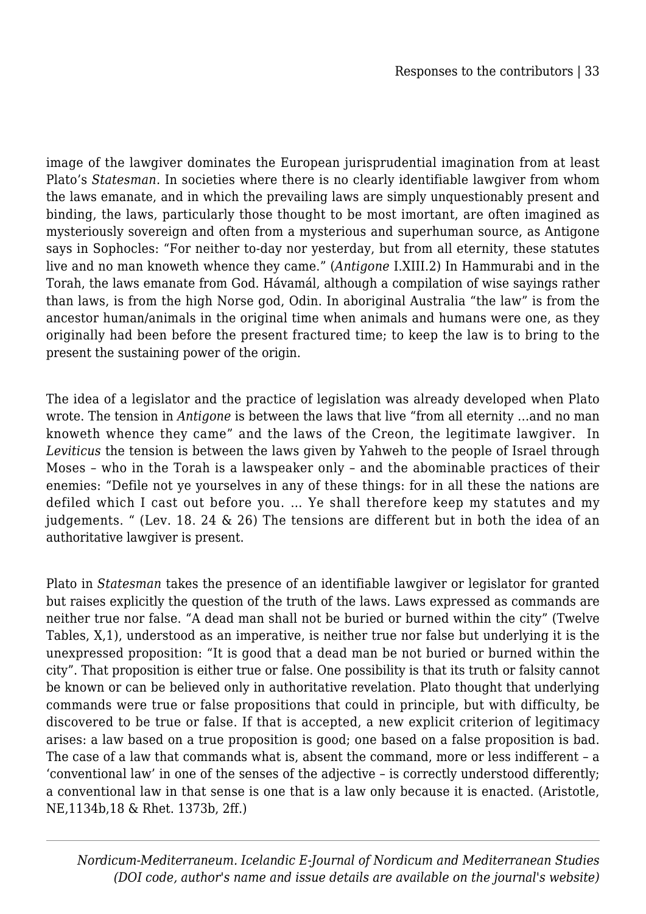image of the lawgiver dominates the European jurisprudential imagination from at least Plato's *Statesman.* In societies where there is no clearly identifiable lawgiver from whom the laws emanate, and in which the prevailing laws are simply unquestionably present and binding, the laws, particularly those thought to be most imortant, are often imagined as mysteriously sovereign and often from a mysterious and superhuman source, as Antigone says in Sophocles: "For neither to-day nor yesterday, but from all eternity, these statutes live and no man knoweth whence they came." (*Antigone* I.XIII.2) In Hammurabi and in the Torah, the laws emanate from God. Hávamál, although a compilation of wise sayings rather than laws, is from the high Norse god, Odin. In aboriginal Australia "the law" is from the ancestor human/animals in the original time when animals and humans were one, as they originally had been before the present fractured time; to keep the law is to bring to the present the sustaining power of the origin.

The idea of a legislator and the practice of legislation was already developed when Plato wrote. The tension in *Antigone* is between the laws that live "from all eternity …and no man knoweth whence they came" and the laws of the Creon, the legitimate lawgiver. In *Leviticus* the tension is between the laws given by Yahweh to the people of Israel through Moses – who in the Torah is a lawspeaker only – and the abominable practices of their enemies: "Defile not ye yourselves in any of these things: for in all these the nations are defiled which I cast out before you. … Ye shall therefore keep my statutes and my judgements. " (Lev. 18. 24 & 26) The tensions are different but in both the idea of an authoritative lawgiver is present.

Plato in *Statesman* takes the presence of an identifiable lawgiver or legislator for granted but raises explicitly the question of the truth of the laws. Laws expressed as commands are neither true nor false. "A dead man shall not be buried or burned within the city" (Twelve Tables, X,1), understood as an imperative, is neither true nor false but underlying it is the unexpressed proposition: "It is good that a dead man be not buried or burned within the city". That proposition is either true or false. One possibility is that its truth or falsity cannot be known or can be believed only in authoritative revelation. Plato thought that underlying commands were true or false propositions that could in principle, but with difficulty, be discovered to be true or false. If that is accepted, a new explicit criterion of legitimacy arises: a law based on a true proposition is good; one based on a false proposition is bad. The case of a law that commands what is, absent the command, more or less indifferent – a 'conventional law' in one of the senses of the adjective – is correctly understood differently; a conventional law in that sense is one that is a law only because it is enacted. (Aristotle, NE,1134b,18 & Rhet. 1373b, 2ff.)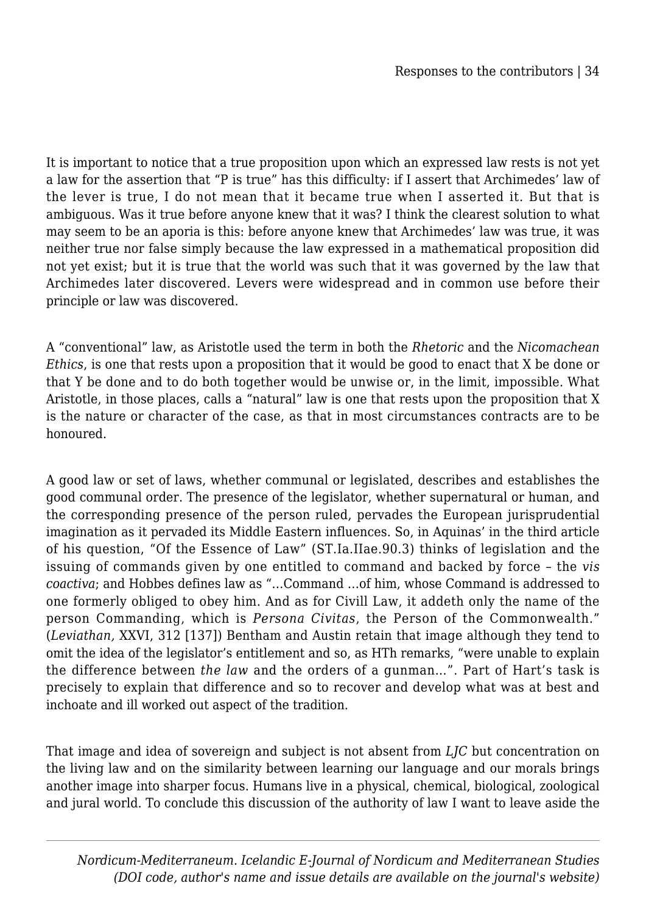It is important to notice that a true proposition upon which an expressed law rests is not yet a law for the assertion that "P is true" has this difficulty: if I assert that Archimedes' law of the lever is true, I do not mean that it became true when I asserted it. But that is ambiguous. Was it true before anyone knew that it was? I think the clearest solution to what may seem to be an aporia is this: before anyone knew that Archimedes' law was true, it was neither true nor false simply because the law expressed in a mathematical proposition did not yet exist; but it is true that the world was such that it was governed by the law that Archimedes later discovered. Levers were widespread and in common use before their principle or law was discovered.

A "conventional" law, as Aristotle used the term in both the *Rhetoric* and the *Nicomachean Ethics*, is one that rests upon a proposition that it would be good to enact that X be done or that Y be done and to do both together would be unwise or, in the limit, impossible. What Aristotle, in those places, calls a "natural" law is one that rests upon the proposition that X is the nature or character of the case, as that in most circumstances contracts are to be honoured.

A good law or set of laws, whether communal or legislated, describes and establishes the good communal order. The presence of the legislator, whether supernatural or human, and the corresponding presence of the person ruled, pervades the European jurisprudential imagination as it pervaded its Middle Eastern influences. So, in Aquinas' in the third article of his question, "Of the Essence of Law" (ST.Ia.IIae.90.3) thinks of legislation and the issuing of commands given by one entitled to command and backed by force – the *vis coactiva*; and Hobbes defines law as "…Command …of him, whose Command is addressed to one formerly obliged to obey him. And as for Civill Law, it addeth only the name of the person Commanding, which is *Persona Civitas*, the Person of the Commonwealth." (*Leviathan,* XXVI, 312 [137]) Bentham and Austin retain that image although they tend to omit the idea of the legislator's entitlement and so, as HTh remarks, "were unable to explain the difference between *the law* and the orders of a gunman…". Part of Hart's task is precisely to explain that difference and so to recover and develop what was at best and inchoate and ill worked out aspect of the tradition.

That image and idea of sovereign and subject is not absent from *LJC* but concentration on the living law and on the similarity between learning our language and our morals brings another image into sharper focus. Humans live in a physical, chemical, biological, zoological and jural world. To conclude this discussion of the authority of law I want to leave aside the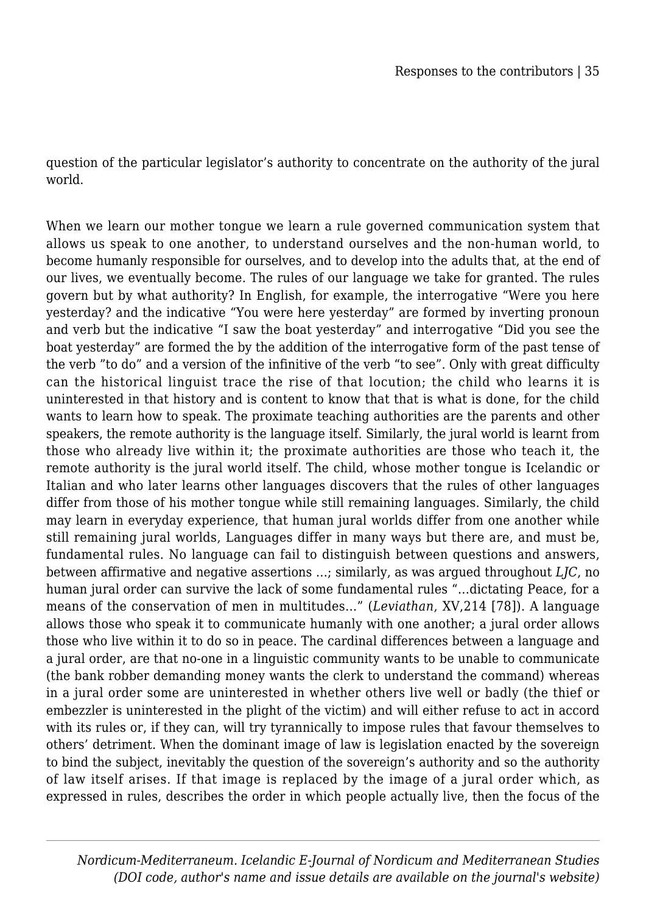question of the particular legislator's authority to concentrate on the authority of the jural world.

When we learn our mother tongue we learn a rule governed communication system that allows us speak to one another, to understand ourselves and the non-human world, to become humanly responsible for ourselves, and to develop into the adults that, at the end of our lives, we eventually become. The rules of our language we take for granted. The rules govern but by what authority? In English, for example, the interrogative "Were you here yesterday? and the indicative "You were here yesterday" are formed by inverting pronoun and verb but the indicative "I saw the boat yesterday" and interrogative "Did you see the boat yesterday" are formed the by the addition of the interrogative form of the past tense of the verb "to do" and a version of the infinitive of the verb "to see". Only with great difficulty can the historical linguist trace the rise of that locution; the child who learns it is uninterested in that history and is content to know that that is what is done, for the child wants to learn how to speak. The proximate teaching authorities are the parents and other speakers, the remote authority is the language itself. Similarly, the jural world is learnt from those who already live within it; the proximate authorities are those who teach it, the remote authority is the jural world itself. The child, whose mother tongue is Icelandic or Italian and who later learns other languages discovers that the rules of other languages differ from those of his mother tongue while still remaining languages. Similarly, the child may learn in everyday experience, that human jural worlds differ from one another while still remaining jural worlds, Languages differ in many ways but there are, and must be, fundamental rules. No language can fail to distinguish between questions and answers, between affirmative and negative assertions …; similarly, as was argued throughout *LJC*, no human jural order can survive the lack of some fundamental rules "…dictating Peace, for a means of the conservation of men in multitudes…" (*Leviathan*, XV,214 [78]). A language allows those who speak it to communicate humanly with one another; a jural order allows those who live within it to do so in peace. The cardinal differences between a language and a jural order, are that no-one in a linguistic community wants to be unable to communicate (the bank robber demanding money wants the clerk to understand the command) whereas in a jural order some are uninterested in whether others live well or badly (the thief or embezzler is uninterested in the plight of the victim) and will either refuse to act in accord with its rules or, if they can, will try tyrannically to impose rules that favour themselves to others' detriment. When the dominant image of law is legislation enacted by the sovereign to bind the subject, inevitably the question of the sovereign's authority and so the authority of law itself arises. If that image is replaced by the image of a jural order which, as expressed in rules, describes the order in which people actually live, then the focus of the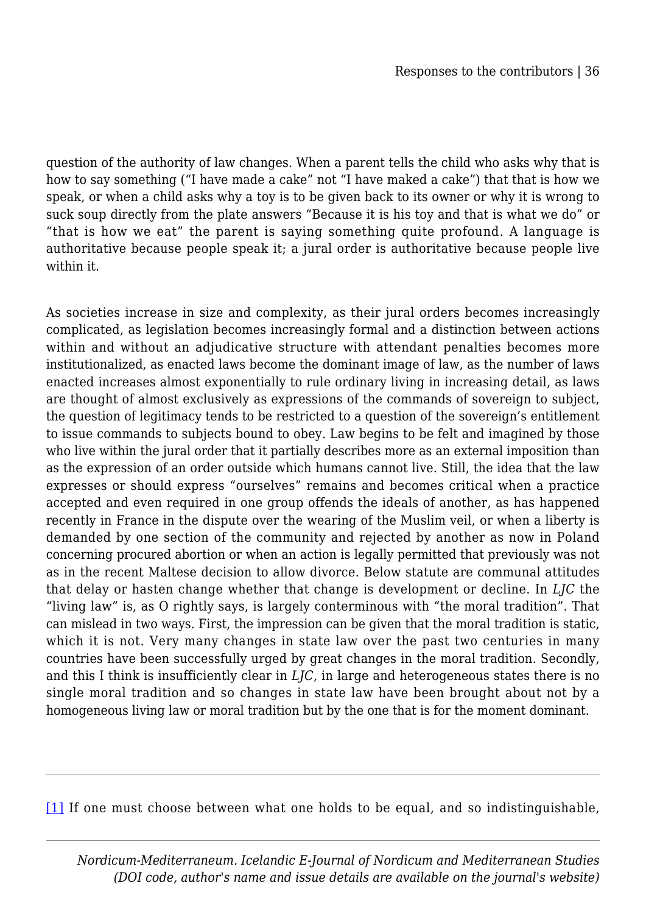question of the authority of law changes. When a parent tells the child who asks why that is how to say something ("I have made a cake" not "I have maked a cake") that that is how we speak, or when a child asks why a toy is to be given back to its owner or why it is wrong to suck soup directly from the plate answers "Because it is his toy and that is what we do" or "that is how we eat" the parent is saying something quite profound. A language is authoritative because people speak it; a jural order is authoritative because people live within it.

As societies increase in size and complexity, as their jural orders becomes increasingly complicated, as legislation becomes increasingly formal and a distinction between actions within and without an adjudicative structure with attendant penalties becomes more institutionalized, as enacted laws become the dominant image of law, as the number of laws enacted increases almost exponentially to rule ordinary living in increasing detail, as laws are thought of almost exclusively as expressions of the commands of sovereign to subject, the question of legitimacy tends to be restricted to a question of the sovereign's entitlement to issue commands to subjects bound to obey. Law begins to be felt and imagined by those who live within the jural order that it partially describes more as an external imposition than as the expression of an order outside which humans cannot live. Still, the idea that the law expresses or should express "ourselves" remains and becomes critical when a practice accepted and even required in one group offends the ideals of another, as has happened recently in France in the dispute over the wearing of the Muslim veil, or when a liberty is demanded by one section of the community and rejected by another as now in Poland concerning procured abortion or when an action is legally permitted that previously was not as in the recent Maltese decision to allow divorce. Below statute are communal attitudes that delay or hasten change whether that change is development or decline. In *LJC* the "living law" is, as O rightly says, is largely conterminous with "the moral tradition". That can mislead in two ways. First, the impression can be given that the moral tradition is static, which it is not. Very many changes in state law over the past two centuries in many countries have been successfully urged by great changes in the moral tradition. Secondly, and this I think is insufficiently clear in *LJC,* in large and heterogeneous states there is no single moral tradition and so changes in state law have been brought about not by a homogeneous living law or moral tradition but by the one that is for the moment dominant.

[\[1\]](#page--1-0) If one must choose between what one holds to be equal, and so indistinguishable,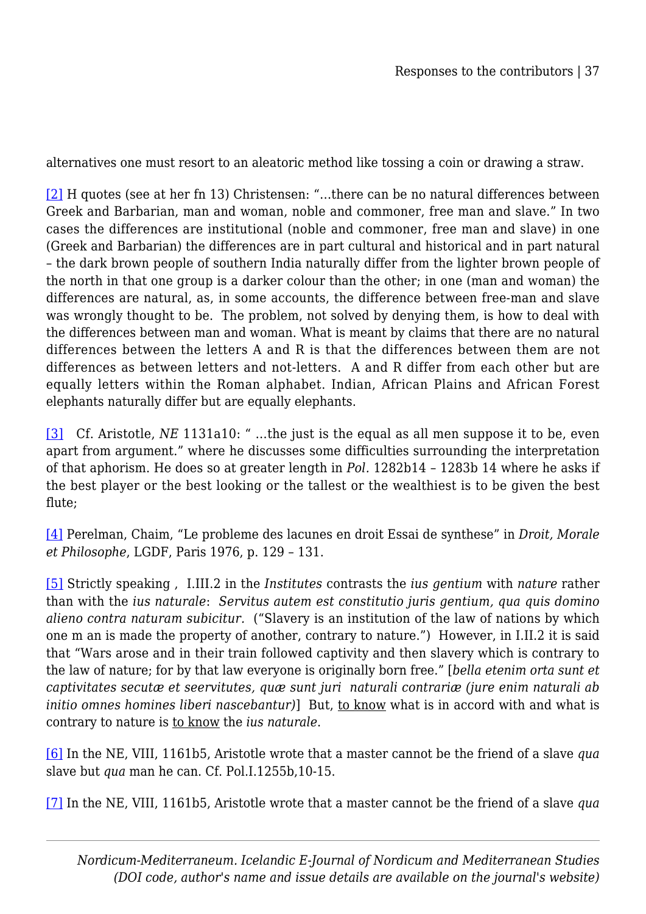alternatives one must resort to an aleatoric method like tossing a coin or drawing a straw.

[\[2\]](#page--1-0) H quotes (see at her fn 13) Christensen: "…there can be no natural differences between Greek and Barbarian, man and woman, noble and commoner, free man and slave." In two cases the differences are institutional (noble and commoner, free man and slave) in one (Greek and Barbarian) the differences are in part cultural and historical and in part natural – the dark brown people of southern India naturally differ from the lighter brown people of the north in that one group is a darker colour than the other; in one (man and woman) the differences are natural, as, in some accounts, the difference between free-man and slave was wrongly thought to be. The problem, not solved by denying them, is how to deal with the differences between man and woman. What is meant by claims that there are no natural differences between the letters A and R is that the differences between them are not differences as between letters and not-letters. A and R differ from each other but are equally letters within the Roman alphabet. Indian, African Plains and African Forest elephants naturally differ but are equally elephants.

[\[3\]](#page--1-0) Cf. Aristotle, *NE* 1131a10: " …the just is the equal as all men suppose it to be, even apart from argument." where he discusses some difficulties surrounding the interpretation of that aphorism. He does so at greater length in *Pol.* 1282b14 – 1283b 14 where he asks if the best player or the best looking or the tallest or the wealthiest is to be given the best flute;

[\[4\]](#page--1-0) Perelman, Chaim, "Le probleme des lacunes en droit Essai de synthese" in *Droit, Morale et Philosophe*, LGDF, Paris 1976, p. 129 – 131.

[\[5\]](#page--1-0) Strictly speaking , I.III.2 in the *Institutes* contrasts the *ius gentium* with *nature* rather than with the *ius naturale*: *Servitus autem est constitutio juris gentium, qua quis domino alieno contra naturam subicitur.* ("Slavery is an institution of the law of nations by which one m an is made the property of another, contrary to nature.") However, in I.II.2 it is said that "Wars arose and in their train followed captivity and then slavery which is contrary to the law of nature; for by that law everyone is originally born free." [*bella etenim orta sunt et captivitates secutæ et seervitutes, quæ sunt juri naturali contrariæ (jure enim naturali ab initio omnes homines liberi nascebantur*)] But, to know what is in accord with and what is contrary to nature is to know the *ius naturale*.

[\[6\]](#page--1-0) In the NE, VIII, 1161b5, Aristotle wrote that a master cannot be the friend of a slave *qua* slave but *qua* man he can. Cf. Pol.I.1255b,10-15.

[\[7\]](#page--1-0) In the NE, VIII, 1161b5, Aristotle wrote that a master cannot be the friend of a slave *qua*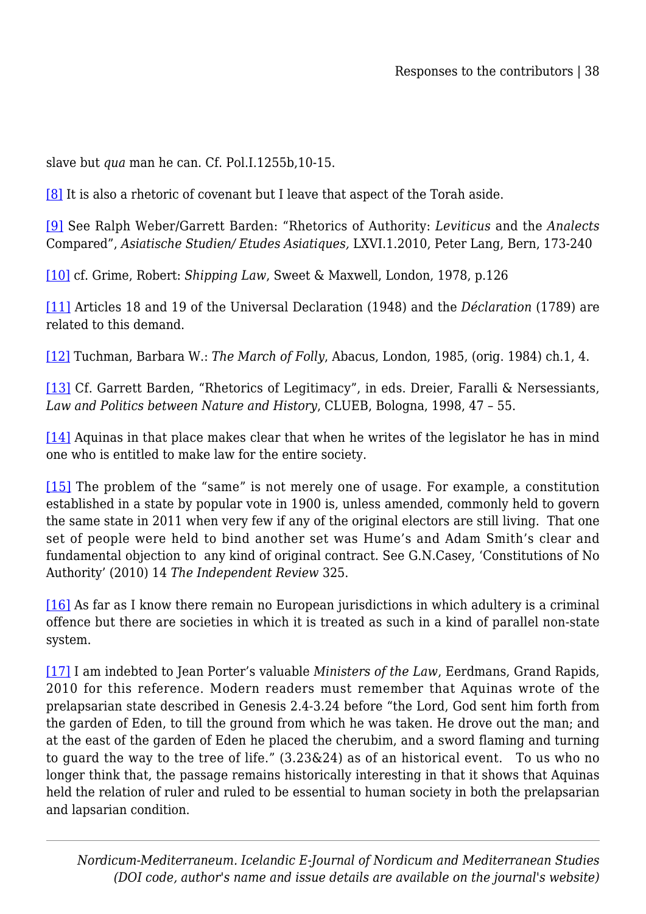slave but *qua* man he can. Cf. Pol.I.1255b,10-15.

[\[8\]](#page--1-0) It is also a rhetoric of covenant but I leave that aspect of the Torah aside.

[\[9\]](#page--1-0) See Ralph Weber/Garrett Barden: "Rhetorics of Authority: *Leviticus* and the *Analects* Compared", *Asiatische Studien/ Etudes Asiatiques,* LXVI.1.2010, Peter Lang, Bern, 173-240

[\[10\]](#page--1-0) cf. Grime, Robert: *Shipping Law*, Sweet & Maxwell, London, 1978, p.126

[\[11\]](#page--1-0) Articles 18 and 19 of the Universal Declaration (1948) and the *Déclaration* (1789) are related to this demand.

[\[12\]](#page--1-0) Tuchman, Barbara W.: *The March of Folly*, Abacus, London, 1985, (orig. 1984) ch.1, 4.

[\[13\]](#page--1-0) Cf. Garrett Barden, "Rhetorics of Legitimacy", in eds. Dreier, Faralli & Nersessiants, *Law and Politics between Nature and History*, CLUEB, Bologna, 1998, 47 – 55.

[\[14\]](#page--1-0) Aquinas in that place makes clear that when he writes of the legislator he has in mind one who is entitled to make law for the entire society.

[\[15\]](#page--1-0) The problem of the "same" is not merely one of usage. For example, a constitution established in a state by popular vote in 1900 is, unless amended, commonly held to govern the same state in 2011 when very few if any of the original electors are still living. That one set of people were held to bind another set was Hume's and Adam Smith's clear and fundamental objection to any kind of original contract. See G.N.Casey, 'Constitutions of No Authority' (2010) 14 *The Independent Review* 325.

[\[16\]](#page--1-0) As far as I know there remain no European jurisdictions in which adultery is a criminal offence but there are societies in which it is treated as such in a kind of parallel non-state system.

[\[17\]](#page--1-0) I am indebted to Jean Porter's valuable *Ministers of the Law*, Eerdmans, Grand Rapids, 2010 for this reference. Modern readers must remember that Aquinas wrote of the prelapsarian state described in Genesis 2.4-3.24 before "the Lord, God sent him forth from the garden of Eden, to till the ground from which he was taken. He drove out the man; and at the east of the garden of Eden he placed the cherubim, and a sword flaming and turning to guard the way to the tree of life." (3.23&24) as of an historical event. To us who no longer think that, the passage remains historically interesting in that it shows that Aquinas held the relation of ruler and ruled to be essential to human society in both the prelapsarian and lapsarian condition.